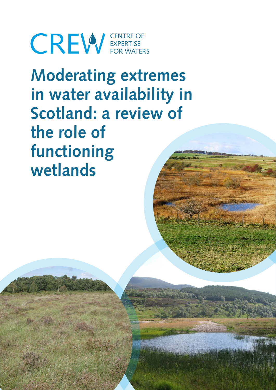**CREW** EXPERTISE

**Moderating extremes in water availability in Scotland: a review of the role of functioning wetlands**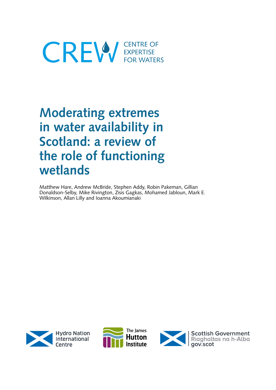# **CREW** EXPERTISE

# **Moderating extremes in water availability in Scotland: a review of the role of functioning wetlands**

Matthew Hare, Andrew McBride, Stephen Addy, Robin Pakeman, Gillian Donaldson-Selby, Mike Rivington, Zisis Gagkas, Mohamed Jabloun, Mark E. Wilkinson, Allan Lilly and Ioanna Akoumianaki





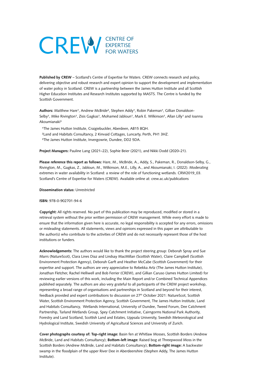# **CREW** EXPERTISE

**Published by CREW** – Scotland's Centre of Expertise for Waters. CREW connects research and policy, delivering objective and robust research and expert opinion to support the development and implementation of water policy in Scotland. CREW is a partnership between the James Hutton Institute and all Scottish Higher Education Institutes and Research Institutes supported by MASTS. The Centre is funded by the Scottish Government.

Authors: Matthew Hare<sup>1</sup>, Andrew McBride<sup>2</sup>, Stephen Addy<sup>1</sup>, Robin Pakeman<sup>1</sup>, Gillian Donaldson-Selby<sup>1</sup>, Mike Rivington<sup>1</sup>, Zisis Gagkas<sup>1</sup>, Mohamed Jabloun<sup>1</sup>, Mark E. Wilkinson<sup>1</sup>, Allan Lilly<sup>1</sup> and Ioanna Akoumianaki³

<sup>1</sup>The James Hutton Institute, Craigiebuckler, Aberdeen, AB15 8QH.

- ²Land and Habitats Consultancy, 2 Kinvaid Cottages, Luncarty, Perth, PH1 3HZ.
- ³The James Hutton Institute, Invergowrie, Dundee, DD2 5DA.

**Project Managers:** Pauline Lang (2021–22), Sophie Beier (2021), and Nikki Dodd (2020–21).

**Please reference this report as follows:** Hare, M., McBride, A., Addy, S., Pakeman, R., Donaldson-Selby, G., Rivington, M., Gagkas, Z., Jabloun, M., Wilkinson, M.E., Lilly, A., and Akoumianaki, I. (2022). Moderating extremes in water availability in Scotland: a review of the role of functioning wetlands. CRW2019\_03. Scotland's Centre of Expertise for Waters (CREW). Available online at: crew.ac.uk/publications

#### **Dissemination status:** Unrestricted

#### **ISBN:** 978-0-902701-94-6

**Copyright:** All rights reserved. No part of this publication may be reproduced, modified or stored in a retrieval system without the prior written permission of CREW management. While every effort is made to ensure that the information given here is accurate, no legal responsibility is accepted for any errors, omissions or misleading statements. All statements, views and opinions expressed in this paper are attributable to the author(s) who contribute to the activities of CREW and do not necessarily represent those of the host institutions or funders.

**Acknowledgements:** The authors would like to thank the project steering group: Deborah Spray and Sue Marrs (NatureScot), Clara Lines Diaz and Lindsay MacMillan (Scottish Water), Claire Campbell (Scottish Environment Protection Agency), Deborah Garft and Heather McCabe (Scottish Government) for their expertise and support. The authors are very appreciative to Rebekka Artz (The James Hutton Institute), Jonathan Fletcher, Rachel Helliwell and Bob Ferrier (CREW), and Gillian Caruso (James Hutton Limited) for reviewing earlier versions of this work, including the Main Report and/or Combined Technical Appendices published separately. The authors are also very grateful to all participants of the CREW project workshop, representing a broad range of organisations and partnerships in Scotland and beyond for their interest, feedback provided and expert contributions to discussion on 27<sup>th</sup> October 2021: NatureScot, Scottish Water, Scottish Environment Protection Agency, Scottish Government, The James Hutton Institute, Land and Habitats Consultancy, Wetlands International, University of Dundee, Tweed Forum, Dee Catchment Partnership, Tarland Wetlands Group, Spey Catchment Initiative, Cairngorms National Park Authority, Forestry and Land Scotland, Scottish Land and Estates, Uppsala University, Swedish Meteorological and Hydrological Institute, Swedish University of Agricultural Sciences and University of Zurich.

**Cover photographs courtesy of: Top-right image:** Basin fen at Whitlaw Mosses, Scottish Borders (Andrew McBride, Land and Habitats Consultancy); **Bottom-left image:** Raised bog at Threepwood Moss in the Scottish Borders (Andrew McBride, Land and Habitats Consultancy); **Bottom-right image:** A backwater swamp in the floodplain of the upper River Dee in Aberdeenshire (Stephen Addy, The James Hutton Institute).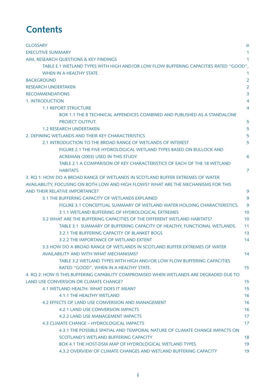# **Contents**

| <b>GLOSSARY</b>                                                                         | Ϊij            |
|-----------------------------------------------------------------------------------------|----------------|
| <b>EXECUTIVE SUMMARY</b>                                                                | 1              |
| AIM, RESEARCH QUESTIONS & KEY FINDINGS                                                  | 1              |
| TABLE E.1 WETLAND TYPES WITH HIGH AND/OR LOW FLOW BUFFERING CAPACITIES RATED "GOOD".    |                |
| WHEN IN A HEALTHY STATE.                                                                | 1              |
| <b>BACKGROUND</b>                                                                       | $\overline{2}$ |
| <b>RESEARCH UNDERTAKEN</b>                                                              | $\overline{2}$ |
| <b>RECOMMENDATIONS</b>                                                                  | 3              |
| <b>1. INTRODUCTION</b>                                                                  | 4              |
| <b>1.1 REPORT STRUCTURE</b>                                                             | 4              |
| <b>BOX 1.1 THE 8 TECHNICAL APPENDICES COMBINED AND PUBLISHED AS A STANDALONE</b>        |                |
| PROJECT OUTPUT.                                                                         | 5              |
| <b>1.2 RESEARCH UNDERTAKEN</b>                                                          | 5              |
| 2. DEFINING WETLANDS AND THEIR KEY CHARACTERISTICS                                      | 5              |
| 2.1 INTRODUCTION TO THE BROAD RANGE OF WETLANDS OF INTEREST                             | 5              |
| FIGURE 2.1 THE FIVE HYDROLOGICAL WETLAND TYPES BASED ON BULLOCK AND                     |                |
| ACREMAN (2003) USED IN THIS STUDY.                                                      | 6              |
| TABLE 2.1 A COMPARISON OF KEY CHARACTERISTICS OF EACH OF THE 18 WETLAND                 |                |
| <b>HABITATS.</b>                                                                        | 7              |
| 3. RQ 1: HOW DO A BROAD RANGE OF WETLANDS IN SCOTLAND BUFFER EXTREMES OF WATER          |                |
| AVAILABILITY, FOCUSING ON BOTH LOW AND HIGH FLOWS? WHAT ARE THE MECHANISMS FOR THIS     |                |
| AND THEIR RELATIVE IMPORTANCE?                                                          | 9              |
| 3.1 THE BUFFERING CAPACITY OF WETLANDS EXPLAINED                                        | 9              |
| FIGURE 3.1 CONCEPTUAL SUMMARY OF WETLAND WATER HOLDING CHARACTERISTICS.                 | 9              |
| 3.1.1 WETLAND BUFFERING OF HYDROLOGICAL EXTREMES                                        | 10             |
| 3.2 WHAT ARE THE BUFFERING CAPACITIES OF THE DIFFERENT WETLAND HABITATS?                | 10             |
| TABLE 3.1 SUMMARY OF BUFFERING CAPACITY OF HEALTHY, FUNCTIONAL WETLANDS.                | 11             |
| 3.2.1 THE BUFFERING CAPACITY OF BLANKET BOGS                                            | 13             |
| 3.2.2 THE IMPORTANCE OF WETLAND EXTENT                                                  | 14             |
| 3.3 HOW DO A BROAD RANGE OF WETLANDS IN SCOTLAND BUFFER EXTREMES OF WATER               |                |
| AVAILABILITY AND WITH WHAT MECHANISMS?                                                  | 14             |
| TABLE 3.2 WETLAND TYPES WITH HIGH AND/OR LOW FLOW BUFFERING CAPACITIES                  |                |
| RATED "GOOD", WHEN IN A HEALTHY STATE.                                                  | 15             |
| 4. RQ 2: HOW IS THIS BUFFERING CAPABILITY COMPROMISED WHEN WETLANDS ARE DEGRADED DUE TO |                |
| LAND USE CONVERSION OR CLIMATE CHANGE?                                                  | 15             |
| 4.1 WETLAND HEALTH: WHAT DOES IT MEAN?                                                  | 15             |
| 4.1.1 THE HEALTHY WETLAND                                                               | 16             |
| 4.2 EFFECTS OF LAND USE CONVERSION AND MANAGEMENT                                       | 16             |
| <b>4.2.1 LAND USE CONVERSION IMPACTS</b>                                                | 16             |
| 4.2.2 LAND USE MANAGEMENT IMPACTS                                                       | 17             |
| 4.3 CLIMATE CHANGE - HYDROLOGICAL IMPACTS                                               | 17             |
| 4.3.1 THE POSSIBLE SPATIAL AND TEMPORAL NATURE OF CLIMATE CHANGE IMPACTS ON             |                |
| SCOTLAND'S WETLAND BUFFERING CAPACITY                                                   | 18             |
| <b>BOX 4.1 THE HOST-DSM MAP OF HYDROLOGICAL WETLAND TYPES.</b>                          | 19             |
| 4.3.2 OVERVIEW OF CLIMATE CHANGES AND WETLAND BUFFERING CAPACITY                        | 19             |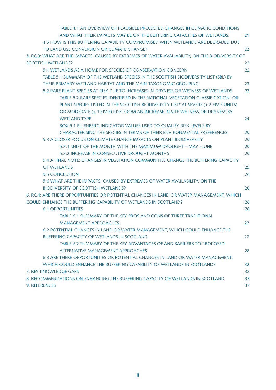| TABLE 4.1 AN OVERVIEW OF PLAUSIBLE PROJECTED CHANGES IN CLIMATIC CONDITIONS                     |    |
|-------------------------------------------------------------------------------------------------|----|
| AND WHAT THEIR IMPACTS MAY BE ON THE BUFFERING CAPACITIES OF WETLANDS.                          | 21 |
| 4.5 HOW IS THIS BUFFERING CAPABILITY COMPROMISED WHEN WETLANDS ARE DEGRADED DUE                 |    |
| TO LAND USE CONVERSION OR CLIMATE CHANGE?                                                       | 22 |
| 5. RQ3: WHAT ARE THE IMPACTS, CAUSED BY EXTREMES OF WATER AVAILABILITY, ON THE BIODIVERSITY OF  |    |
| <b>SCOTTISH WETLANDS?</b>                                                                       | 22 |
| 5.1 WETLANDS AS A HOME FOR SPECIES OF CONSERVATION CONCERN                                      | 22 |
| TABLE 5.1 SUMMARY OF THE WETLAND SPECIES IN THE SCOTTISH BIODIVERSITY LIST (SBL) BY             |    |
| THEIR PRIMARY WETLAND HABITAT AND THE MAIN TAXONOMIC GROUPING.                                  | 23 |
| 5.2 RARE PLANT SPECIES AT RISK DUE TO INCREASES IN DRYNESS OR WETNESS OF WETLANDS               | 23 |
| TABLE 5.2 RARE SPECIES IDENTIFIED IN THE NATIONAL VEGETATION CLASSIFICATION' OR                 |    |
| PLANT SPECIES LISTED IN THE SCOTTISH BIODIVERSITY LIST <sup>+</sup> AT SEVERE (± 2 EIV-F UNITS) |    |
| OR MODERATE (± 1 EIV-F) RISK FROM AN INCREASE IN SITE WETNESS OR DRYNESS BY                     |    |
| <b>WETLAND TYPE.</b>                                                                            | 24 |
| BOX 5.1 ELLENBERG INDICATOR VALUES USED TO QUALIFY RISK LEVELS BY                               |    |
| CHARACTERISING THE SPECIES IN TERMS OF THEIR ENVIRONMENTAL PREFERENCES.                         | 25 |
| 5.3 A CLOSER FOCUS ON CLIMATE CHANGE IMPACTS ON PLANT BIODIVERSITY                              | 25 |
| 5.3.1 SHIFT OF THE MONTH WITH THE MAXIMUM DROUGHT - MAY - JUNE                                  | 25 |
| 5.3.2 INCREASE IN CONSECUTIVE DROUGHT MONTHS                                                    | 25 |
| 5.4 A FINAL NOTE: CHANGES IN VEGETATION COMMUNITIES CHANGE THE BUFFERING CAPACITY               |    |
| OF WETLANDS                                                                                     | 25 |
| <b>5.5 CONCLUSION</b>                                                                           | 26 |
| 5.6 WHAT ARE THE IMPACTS, CAUSED BY EXTREMES OF WATER AVAILABILITY, ON THE                      |    |
| <b>BIODIVERSITY OF SCOTTISH WETLANDS?</b>                                                       | 26 |
| 6. RQ4: ARE THERE OPPORTUNITIES OR POTENTIAL CHANGES IN LAND OR WATER MANAGEMENT, WHICH         |    |
| COULD ENHANCE THE BUFFERING CAPABILITY OF WETLANDS IN SCOTLAND?                                 | 26 |
| <b>6.1 OPPORTUNITIES</b>                                                                        | 26 |
| TABLE 6.1 SUMMARY OF THE KEY PROS AND CONS OF THREE TRADITIONAL                                 |    |
| <b>MANAGEMENT APPROACHES.</b>                                                                   | 27 |
| 6.2 POTENTIAL CHANGES IN LAND OR WATER MANAGEMENT, WHICH COULD ENHANCE THE                      |    |
| <b>BUFFERING CAPACITY OF WETLANDS IN SCOTLAND</b>                                               | 27 |
| TABLE 6.2 SUMMARY OF THE KEY ADVANTAGES OF AND BARRIERS TO PROPOSED                             |    |
| ALTERNATIVE MANAGEMENT APPROACHES.                                                              | 28 |
| 6.3 ARE THERE OPPORTUNITIES OR POTENTIAL CHANGES IN LAND OR WATER MANAGEMENT,                   |    |
| WHICH COULD ENHANCE THE BUFFERING CAPABILITY OF WETLANDS IN SCOTLAND?                           | 32 |
| 7. KEY KNOWLEDGE GAPS                                                                           | 32 |
| 8. RECOMMENDATIONS ON ENHANCING THE BUFFERING CAPACITY OF WETLANDS IN SCOTLAND                  | 33 |
| 9. REFERENCES                                                                                   | 37 |
|                                                                                                 |    |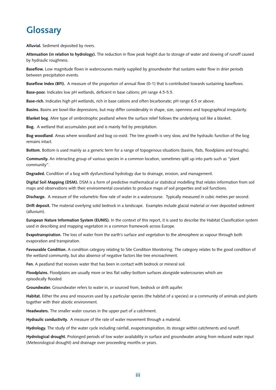# **Glossary**

**Alluvial.** Sediment deposited by rivers.

**Attenuation (in relation to hydrology).** The reduction in flow peak height due to storage of water and slowing of runoff caused by hydraulic roughness.

**Baseflow.** Low magnitude flows in watercourses mainly supplied by groundwater that sustains water flow in drier periods between precipitation events.

**Baseflow Index (BFI).** A measure of the proportion of annual flow (0-1) that is contributed towards sustaining baseflows.

**Base-poor.** Indicates low pH wetlands, deficient in base cations; pH range 4.5-5.5.

**Base-rich.** Indicates high pH wetlands, rich in base cations and often bicarbonate; pH range 6.5 or above.

**Basins.** Basins are bowl-like depressions, but may differ considerably in shape, size, openness and topographical irregularity.

**Blanket bog**. Mire type of ombrotrophic peatland where the surface relief follows the underlying soil like a blanket.

**Bog.** A wetland that accumulates peat and is mainly fed by precipitation.

**Bog woodland**. Areas where woodland and bog co-exist. The tree growth is very slow, and the hydraulic function of the bog remains intact.

**Bottom.** Bottom is used mainly as a generic term for a range of topogenous situations (basins, flats, floodplains and troughs).

**Community.** An interacting group of various species in a common location, sometimes split up into parts such as "plant community".

**Degraded.** Condition of a bog with dysfunctional hydrology due to drainage, erosion, and management.

**Digital Soil Mapping (DSM).** DSM is a form of predictive mathematical or statistical modelling that relates information from soil maps and observations with their environmental covariates to produce maps of soil properties and soil functions.

**Discharge.** A measure of the volumetric flow rate of water in a watercourse. Typically measured in cubic metres per second.

**Drift deposit.** The material overlying solid bedrock in a landscape. Examples include glacial material or river deposited sediment (alluvium).

**European Nature Information System (EUNIS).** In the context of this report, it is used to describe the Habitat Classification system used in describing and mapping vegetation in a common framework across Europe.

**Evapotranspiration.** The loss of water from the earth's surface and vegetation to the atmosphere as vapour through both evaporation and transpiration.

**Favourable Condition.** A condition category relating to Site Condition Monitoring. The category relates to the good condition of the wetland community, but also absence of negative factors like tree encroachment.

**Fen.** A peatland that receives water that has been in contact with bedrock or mineral soil.

**Floodplains.** Floodplains are usually more or less flat valley-bottom surfaces alongside watercourses which are episodically flooded.

**Groundwater.** Groundwater refers to water in, or sourced from, bedrock or drift aquifer.

**Habitat.** Either the area and resources used by a particular species (the habitat of a species) or a community of animals and plants together with their abiotic environment.

**Headwaters.** The smaller water courses in the upper part of a catchment.

**Hydraulic conductivity.** A measure of the rate of water movement through a material. 

**Hydrology.** The study of the water cycle including rainfall, evapotranspiration, its storage within catchments and runoff.

**Hydrological drought.** Prolonged periods of low water availability in surface and groundwater arising from reduced water input (Meteorological drought) and drainage over proceeding months or years.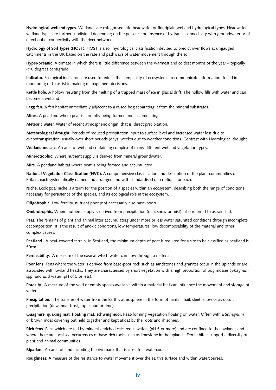**Hydrological wetland types.** Wetlands are categorised into headwater or floodplain wetland hydrological types. Headwater wetland types are further subdivided depending on the presence or absence of hydraulic connectivity with groundwater or of direct outlet connectivity with the river network.

**Hydrology of Soil Types (HOST).** HOST is a soil hydrological classification devised to predict river flows at ungauged catchments in the UK based on the rate and pathways of water movement through the soil.

**Hyper-oceanic.** A climate in which there is little difference between the warmest and coldest months of the year – typically <10 degrees centigrade.

**Indicator.** Ecological indicators are used to reduce the complexity of ecosystems to communicate information, to aid in monitoring or to assist in making management decisions.

**Kettle hole.** A hollow resulting from the melting of a trapped mass of ice in glacial drift. The hollow fills with water and can become a wetland.

**Lagg fen.** A fen habitat immediately adjacent to a raised bog separating it from the mineral substrates.

**Mires.** A peatland where peat is currently being formed and accumulating.

**Meteoric water.** Water of recent atmospheric origin, that is, direct precipitation.

**Meteorological drought.** Periods of reduced precipitation input to surface level and increased water loss due to evapotranspiration, usually over short periods (days, weeks) due to weather conditions. Contrast with Hydrological drought.

Wetland mosaic. An area of wetland containing complex of many different wetland vegetation types.

**Minerotrophic.** Where nutrient supply is derived from mineral groundwater.

**Mire.** A peatland habitat where peat is being formed and accumulated.

**National Vegetation Classification (NVC).** A comprehensive classification and description of the plant communities of Britain, each systematically named and arranged and with standardised descriptions for each.

**Niche.** Ecological niche is a term for the position of a species within an ecosystem, describing both the range of conditions necessary for persistence of the species, and its ecological role in the ecosystem.

**Oligotrophic.** Low fertility, nutrient poor (not necessarily also base-poor).

**Ombrotrophic.** Where nutrient supply is derived from precipitation (rain, snow or mist), also referred to as rain-fed.

**Peat.** The remains of plant and animal litter accumulating under more or less water saturated conditions through incomplete decomposition. It is the result of anoxic conditions, low temperatures, low decomposability of the material and other complex causes.

**Peatland.** A peat-covered terrain. In Scotland, the minimum depth of peat is required for a site to be classified as peatland is 50cm.

**Permeability.** A measure of the ease at which water can flow through a material.

**Poor fens.** Fens where the water is derived from base-poor rock such as sandstones and granites occur in the uplands or are associated with lowland heaths. They are characterised by short vegetation with a high proportion of bog mosses *Sphagnum* spp. and acid water (pH of 5 or less).

**Porosity.** A measure of the void or empty spaces available within a material that can influence the movement and storage of water.

**Precipitation.** The transfer of water from the Earth's atmosphere in the form of rainfall, hail, sleet, snow or as occult precipitation (dew, hoar frost, fog, cloud or rime). 

**Quagmire, quaking mat, floating mat, schwingmoor.** Peat-forming vegetation floating on water. Often with a *Sphagnum* or brown moss covering but held together and kept afloat by the roots and rhizomes.

**Rich fens.** Fens which are fed by mineral-enriched calcareous waters (pH 5 or more) and are confined to the lowlands and where there are localised occurrences of base-rich rocks such as limestone in the uplands. Fen habitats support a diversity of plant and animal communities.

**Riparian.** An area of land including the riverbank that is close to a watercourse.

**Roughness.** A measure of the resistance to water movement over the earth's surface and within watercourses.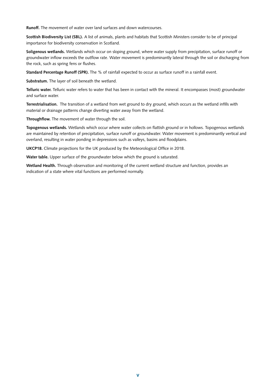**Runoff.** The movement of water over land surfaces and down watercourses.

**Scottish Biodiversity List (SBL).** A list of animals, plants and habitats that Scottish Ministers consider to be of principal importance for biodiversity conservation in Scotland.

**Soligenous wetlands.** Wetlands which occur on sloping ground, where water supply from precipitation, surface runoff or groundwater inflow exceeds the outflow rate. Water movement is predominantly lateral through the soil or discharging from the rock, such as spring fens or flushes.

**Standard Percentage Runoff (SPR).** The % of rainfall expected to occur as surface runoff in a rainfall event.

**Substratum.** The layer of soil beneath the wetland.

**Telluric water.** Telluric water refers to water that has been in contact with the mineral. It encompasses (most) groundwater and surface water.

**Terrestrialisation.** The transition of a wetland from wet ground to dry ground, which occurs as the wetland infills with material or drainage patterns change diverting water away from the wetland.

**Throughflow.** The movement of water through the soil.

**Topogenous wetlands.** Wetlands which occur where water collects on flattish ground or in hollows. Topogenous wetlands are maintained by retention of precipitation, surface runoff or groundwater. Water movement is predominantly vertical and overland, resulting in water ponding in depressions such as valleys, basins and floodplains.

**UKCP18.** Climate projections for the UK produced by the Meteorological Office in 2018.

**Water table.** Upper surface of the groundwater below which the ground is saturated.

**Wetland Health.** Through observation and monitoring of the current wetland structure and function, provides an indication of a state where vital functions are performed normally.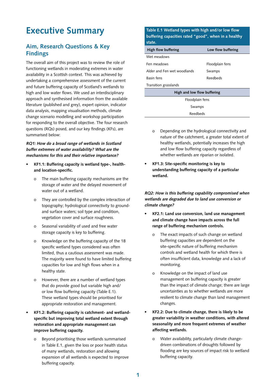# **Executive Summary**

# **Aim, Research Questions & Key Findings**

The overall aim of this project was to review the role of functioning wetlands in moderating extremes in water availability in a Scottish context. This was achieved by undertaking a comprehensive assessment of the current and future buffering capacity of Scotland's wetlands to high and low water flows. We used an interdisciplinary approach and synthesised information from the available literature (published and grey), expert opinion, indicator data analysis, mapping visualisation methods, climate change scenario modelling and workshop participation for responding to the overall objective. The four research questions (RQs) posed, and our key findings (KFs), are summarised below:

**RQ1: How do a broad range of wetlands in Scotland buffer extremes of water availability? What are the mechanisms for this and their relative importance?** 

- **• KF1.1: Buffering capacity is wetland type-, healthand location-specific.**
	- o The main buffering capacity mechanisms are the storage of water and the delayed movement of water out of a wetland.
	- o They are controlled by the complex interaction of topography; hydrological connectivity to groundand surface waters; soil type and condition, vegetation cover and surface roughness.
	- o Seasonal variability of used and free water storage capacity is key to buffering.
	- o Knowledge on the buffering capacity of the 18 specific wetland types considered was often limited, thus a cautious assessment was made. The majority were found to have limited buffering capacities for low and high flows when in a healthy state.
	- o However, there are a number of wetland types that do provide good but variable high and/ or low flow buffering capacity (Table E.1). These wetland types should be prioritised for appropriate restoration and management.
- **• KF1.2: Buffering capacity is catchment- and wetlandspecific but improving total wetland extent through restoration and appropriate management can improve buffering capacity.**
	- Beyond prioritising those wetlands summarised in Table E.1, given the loss or poor health status of many wetlands, restoration and allowing expansion of all wetlands is expected to improve buffering capacity.

**Table E.1 Wetland types with high and/or low flow buffering capacities rated "good", when in a healthy state.** 

| High flow buffering         | Low flow buffering |  |  |  |
|-----------------------------|--------------------|--|--|--|
| Wet meadows                 |                    |  |  |  |
| Fen meadows                 | Floodplain fens    |  |  |  |
| Alder and Fen wet woodlands | Swamps             |  |  |  |
| <b>Basin fens</b>           | Reedbeds           |  |  |  |
| Transition grasslands       |                    |  |  |  |
| High and low flow buffering |                    |  |  |  |
| Floodplain fens             |                    |  |  |  |
| Swamps                      |                    |  |  |  |

Reedbeds

- o Depending on the hydrological connectivity and nature of the catchment, a greater total extent of healthy wetlands, potentially increases the high and low flow buffering capacity regardless of whether wetlands are riparian or isolated.
- **• KF1.3: Site-specific monitoring is key to understanding buffering capacity of a particular wetland.**

**RQ2: How is this buffering capability compromised when wetlands are degraded due to land use conversion or climate change?**

- **• KF2.1: Land use conversion, land use management and climate change have impacts across the full range of buffering mechanism controls.**
	- o The exact impacts of such change on wetland buffering capacities are dependent on the site-specific nature of buffering mechanism controls and wetland health for which there is often insufficient data, knowledge and a lack of monitoring.
	- o Knowledge on the impact of land use management on buffering capacity is greater than the impact of climate change; there are large uncertainties as to whether wetlands are more resilient to climate change than land management changes.
- **• KF2.2: Due to climate change, there is likely to be greater variability in weather conditions, with altered seasonality and more frequent extremes of weather affecting wetlands.** 
	- o Water availability, particularly climate changedriven combinations of droughts followed by flooding are key sources of impact risk to wetland buffering capacity.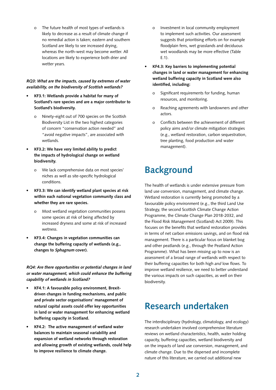o The future health of most types of wetlands is likely to decrease as a result of climate change if no remedial action is taken; eastern and southern Scotland are likely to see increased drying, whereas the north-west may become wetter. All locations are likely to experience both drier and wetter years.

#### **RQ3: What are the impacts, caused by extremes of water availability, on the biodiversity of Scottish wetlands?**

- **• KF3.1: Wetlands provide a habitat for many of Scotland's rare species and are a major contributor to Scotland's biodiversity.**
	- o Ninety-eight out of 700 species on the Scottish Biodiversity List in the two highest categories of concern "conservation action needed" and "avoid negative impacts", are associated with wetlands.
- **• KF3.2: We have very limited ability to predict the impacts of hydrological change on wetland biodiversity.**
	- o We lack comprehensive data on most species' niches as well as site-specific hydrological conditions.
- **• KF3.3: We can identify wetland plant species at risk within each national vegetation community class and whether they are rare species.** 
	- o Most wetland vegetation communities possess some species at risk of being affected by increased dryness and some at risk of increased wetness.
- **• KF3.4: Changes in vegetation communities can change the buffering capacity of wetlands (e.g., changes to Sphagnum cover).**

**RQ4: Are there opportunities or potential changes in land or water management, which could enhance the buffering capability of wetlands in Scotland?**

- **• KF4.1: A favourable policy environment, Brexitdriven changes in funding mechanisms, and public and private sector organisations' management of natural capital assets could offer key opportunities in land or water management for enhancing wetland buffering capacity in Scotland.**
- **• KF4.2: The active management of wetland water balances to maintain seasonal variability and expansion of wetland networks through restoration and allowing growth of existing wetlands, could help to improve resilience to climate change.**
- o Investment in local community employment to implement such activities. Our assessment suggests that prioritising efforts on for example floodplain fens, wet grasslands and deciduous wet woodlands may be more effective (Table E.1).
- **• KF4.3: Key barriers to implementing potential changes in land or water management for enhancing wetland buffering capacity in Scotland were also identified, including:**
	- o Significant requirements for funding, human resources, and monitoring.
	- o Reaching agreements with landowners and other actors.
	- o Conflicts between the achievement of different policy aims and/or climate mitigation strategies (e.g., wetland restoration, carbon sequestration, tree planting, food production and water management).

# **Background**

The health of wetlands is under extensive pressure from land use conversion, management, and climate change. Wetland restoration is currently being promoted by a favourable policy environment (e.g., the third Land Use Strategy, the second Scottish Climate Change Action Programme, the Climate Change Plan 2018-2032, and the Flood Risk Management (Scotland) Act 2009). This focuses on the benefits that wetland restoration provides in terms of net carbon emissions savings, and on flood risk management. There is a particular focus on blanket bog and other peatlands (e.g., through the Peatland Action Programme). What has been missing up to now is an assessment of a broad range of wetlands with respect to their buffering capacities for both high *and* low flows. To improve wetland resilience, we need to better understand the various impacts on such capacities, as well on their biodiversity.

# **Research undertaken**

The interdisciplinary (hydrology, climatology, and ecology) research undertaken involved comprehensive literature reviews on wetland characteristics, health, water holding capacity, buffering capacities, wetland biodiversity and on the impacts of land use conversion, management, and climate change. Due to the dispersed and incomplete nature of this literature, we carried out additional new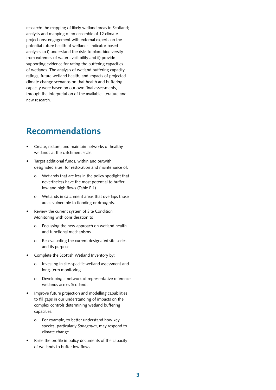research: the mapping of likely wetland areas in Scotland; analysis and mapping of an ensemble of 12 climate projections; engagement with external experts on the potential future health of wetlands; indicator-based analyses to i) understand the risks to plant biodiversity from extremes of water availability and ii) provide supporting evidence for rating the buffering capacities of wetlands. The analysis of wetland buffering capacity ratings, future wetland health, and impacts of projected climate change scenarios on that health and buffering capacity were based on our own final assessments, through the interpretation of the available literature and new research.

# **Recommendations**

- Create, restore, and maintain networks of healthy wetlands at the catchment scale.
- Target additional funds, within and outwith designated sites, for restoration and maintenance of:
	- o Wetlands that are less in the policy spotlight that nevertheless have the most potential to buffer low and high flows (Table E.1).
	- o Wetlands in catchment areas that overlaps those areas vulnerable to flooding or droughts.
- Review the current system of Site Condition Monitoring with consideration to:
	- o Focussing the new approach on wetland health and functional mechanisms.
	- o Re-evaluating the current designated site series and its purpose.
- Complete the Scottish Wetland Inventory by:
	- o Investing in site-specific wetland assessment and long-term monitoring.
	- o Developing a network of representative reference wetlands across Scotland.
- Improve future projection and modelling capabilities to fill gaps in our understanding of impacts on the complex controls determining wetland buffering capacities.
	- o For example, to better understand how key species, particularly *Sphagnum*, may respond to climate change.
- Raise the profile in policy documents of the capacity of wetlands to buffer low flows.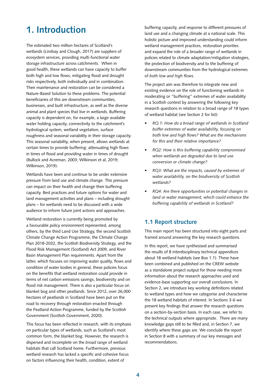# **1. Introduction**

The estimated two million hectares of Scotland's wetlands (Lindsay and Clough, 2017) are suppliers of ecosystem services, providing multi-functional water storage infrastructure across catchments. When in good health, these wetlands can have capacity to buffer both high and low flows, mitigating flood and drought risks respectively, both individually and in combination. Their maintenance and restoration can be considered a Nature-Based Solution to these problems. The potential beneficiaries of this are downstream communities, businesses, and built infrastructure, as well as the diverse animal and plant species that live in wetlands. Buffering capacity is dependent on, for example, a large available water holding capacity, connectivity to the catchment's hydrological system, wetland vegetation, surface roughness and seasonal variability in their storage capacity. This seasonal variability, when present, allows wetlands at certain times to provide buffering: attenuating high flows in times of flood and providing water in times of drought (Bullock and Acreman, 2003; Wilkinson et al, 2019; Wilkinson, 2019).

Wetlands have been and continue to be under extensive pressure from land use and climate change. This pressure can impact on their health and change their buffering capacity. Best practices and future options for water and land management activities and plans – including drought plans – for wetlands need to be discussed with a wide audience to inform future joint actions and approaches.

Wetland restoration is currently being promoted by a favourable policy environment represented, among others, by the third Land Use Strategy, the second Scottish Climate Change Action Programme, the Climate Change Plan 2018-2032, the Scottish Biodiversity Strategy, and the Flood Risk Management (Scotland) Act 2009, and River Basin Management Plan requirements. Apart from the latter, which focuses on improving water quality, flows and condition of water bodies in general, these policies focus on the benefits that wetland restoration could provide in terms of net carbon emissions savings, biodiversity and on flood risk management. There is also a particular focus on blanket bog and other peatlands. Since 2012, over 26,000 hectares of peatlands in Scotland have been put on the road to recovery through restoration enacted through the Peatland Action Programme, funded by the Scottish Government (Scottish Government, 2020).

This focus has been reflected in research, with its emphasis on particular types of wetlands, such as Scotland's most common form, the blanket bog. However, the research is dispersed and incomplete on the *broad range* of wetland habitats that call Scotland home. Furthermore, previous wetland research has lacked a specific and cohesive focus on factors influencing their health, condition, extent of

buffering capacity, and response to different pressures of land use and a changing climate at a national scale. This holistic picture and improved understanding could inform wetland management practices, restoration priorities and expand the role of a broader range of wetlands in policies related to climate adaptation/mitigation strategies, the protection of biodiversity and to the buffering of downstream communities from the hydrological extremes of *both low and high flows*.

The project aim was therefore to integrate new and existing evidence on the role of functioning wetlands in moderating or "buffering" extremes of water availability in a Scottish context by answering the following key research questions in relation to a broad range of 18 types of wetland habitat (see Section 2 for list):

- *• RQ 1: How do a broad range of wetlands in Scotland buffer extremes of water availability, focusing on both low and high flows? What are the mechanisms for this and their relative importance?*
- *• RQ2: How is this buffering capability compromised when wetlands are degraded due to land use conversion or climate change?*
- *• RQ3: What are the impacts, caused by extremes of water availability, on the biodiversity of Scottish wetlands?*
- *• RQ4: Are there opportunities or potential changes in land or water management, which could enhance the buffering capability of wetlands in Scotland?*

## **1.1 Report structure**

This main report has been structured into eight parts and framed around answering the key research questions.

In this report, we have synthesised and summarised the results of 8 interdisciplinary technical appendices about 18 wetland habitats (see Box 1.1). These have been combined and published on the CREW website as a standalone project output for those needing more information about the research approaches used and evidence-base supporting our overall conclusions. In Section 2, we introduce key working definitions related to wetland types and how we categorise and characterise the 18 wetland habitats of interest. In Sections 3-6 we present key findings that answer the research questions on a section-by-section basis. In each case, we refer to the technical outputs where appropriate. There are many knowledge gaps still to be filled and, in Section 7, we identify where these gaps are. We conclude the report in Section 8 with a summary of our key messages and recommendations.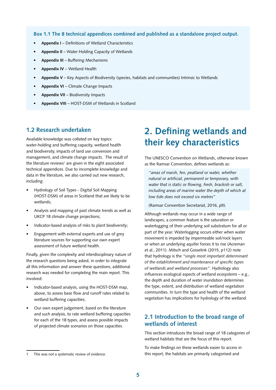**Box 1.1 The 8 technical appendices combined and published as a standalone project output.**

- **• Appendix I** Definitions of Wetland Characteristics
- **• Appendix II** Water Holding Capacity of Wetlands
- **• Appendix III** Buffering Mechanisms
- **• Appendix IV** Wetland Health
- **• Appendix V** Key Aspects of Biodiversity (species, habitats and communities) Intrinsic to Wetlands
- **• Appendix VI** Climate Change Impacts
- **• Appendix VII** Biodiversity Impacts
- **• Appendix VIII** HOST-DSM of Wetlands in Scotland

# **1.2 Research undertaken**

Available knowledge was collated on key topics: water-holding and buffering capacity, wetland health and biodiversity, impacts of land use conversion and management, and climate change impacts. The result of the literature reviews<sup>1</sup> are given in the eight associated technical appendices. Due to incomplete knowledge and data in the literature, we also carried out new research, including:

- Hydrology of Soil Types Digital Soil Mapping (HOST-DSM) of areas in Scotland that are likely to be wetlands;
- Analysis and mapping of past climate trends as well as UKCP 18 climate change projections;
- Indicator-based analysis of risks to plant biodiversity;
- Engagement with external experts and use of grey literature sources for supporting our own expert assessment of future wetland health.

Finally, given the complexity and interdisciplinary nature of the research questions being asked, in order to integrate all this information and answer these questions, additional research was needed for completing the main report. This involved:

- Indicator-based analysis, using the HOST-DSM map, above, to assess base flow and runoff rates related to wetland buffering capacities;
- Our own expert judgement, based on the literature and such analysis, to rate wetland buffering capacities for each of the 18 types, and assess possible impacts of projected climate scenarios on those capacities.

# **2. Defining wetlands and their key characteristics**

The UNESCO Convention on Wetlands, otherwise known as the Ramsar Convention, defines wetlands as:

*"areas of marsh, fen, peatland or water, whether natural or artificial, permanent or temporary, with water that is static or flowing, fresh, brackish or salt, including areas of marine water the depth of which at low tide does not exceed six metres"*

(Ramsar Convention Secretariat, 2016, p9).

Although wetlands may occur in a wide range of landscapes, a common feature is the saturation or waterlogging of their underlying soil substratum for all or part of the year. Waterlogging occurs either when water movement is impeded by impermeable soil/rock layers or when an underlying aquifer forces it to rise (Acreman et al., 2011). Mitsch and Gosselink (2015, p112) note that hydrology is the *"single most important determinant of the establishment and maintenance of specific types of wetlands and wetland processes"*. Hydrology also influences ecological aspects of wetland ecosystems – e.g., the depth and duration of water inundation determines the type, extent, and distribution of wetland vegetation communities. In turn the type and health of the wetland vegetation has implications for hydrology of the wetland.

## **2.1 Introduction to the broad range of wetlands of interest**

This section introduces the broad range of 18 categories of wetland habitats that are the focus of this report.

To make findings on these wetlands easier to access in this report, the habitats are primarily categorised and

<sup>1</sup> This was not a systematic review of evidence.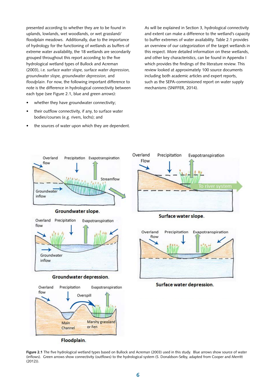presented according to whether they are to be found in uplands, lowlands, wet woodlands, or wet grassland/ floodplain meadows. Additionally, due to the importance of hydrology for the functioning of wetlands as buffers of extreme water availability, the 18 wetlands are secondarily grouped throughout this report according to the five hydrological wetland types of Bullock and Acreman (2003), i.e*. surface water slope, surface water depression, groundwater slope, groundwater depression,* and *floodplain*. For now, the following important difference to note is the difference in hydrological connectivity between each type (see Figure 2.1, blue and green arrows):

- whether they have groundwater connectivity;
- their outflow connectivity, if any, to surface water bodies/courses (e.g. rivers, lochs); and
- the sources of water upon which they are dependent.

As will be explained in Section 3, hydrological connectivity and extent can make a difference to the wetland's capacity to buffer extremes of water availability. Table 2.1 provides an overview of our categorization of the target wetlands in this respect. More detailed information on these wetlands, and other key characteristics, can be found in Appendix I which provides the findings of the literature review. This review looked at approximately 100 source documents including both academic articles and expert reports, such as the SEPA-commissioned report on water supply mechanisms (SNIFFER, 2014).



**Figure 2.1** The five hydrological wetland types based on Bullock and Acreman (2003) used in this study. Blue arrows show source of water (inflows). Green arrows show connectivity (outflows) to the hydrological system (S. Donaldson-Selby, adapted from Cooper and Merritt (2012)).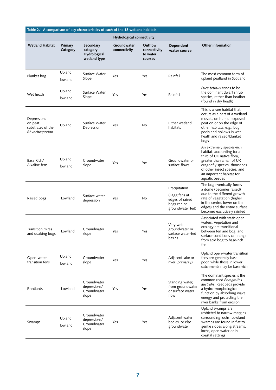| Table 2.1 A comparison of key characteristics of each of the 18 wetland habitats. |                     |                                                        |                                  |                                                |                                                                                      |                                                                                                                                                                                                                                 |
|-----------------------------------------------------------------------------------|---------------------|--------------------------------------------------------|----------------------------------|------------------------------------------------|--------------------------------------------------------------------------------------|---------------------------------------------------------------------------------------------------------------------------------------------------------------------------------------------------------------------------------|
|                                                                                   |                     |                                                        | <b>Hydrological connectivity</b> |                                                |                                                                                      |                                                                                                                                                                                                                                 |
| <b>Wetland Habitat</b>                                                            | Primary<br>Category | Secondary<br>category:<br>Hydrological<br>wetland type | Groundwater<br>connectivity      | Outflow<br>connectivity<br>to water<br>courses | <b>Dependent</b><br>water source                                                     | Other information                                                                                                                                                                                                               |
| Blanket bog                                                                       | Upland;<br>lowland  | Surface Water<br>Slope                                 | Yes                              | Yes                                            | Rainfall                                                                             | The most common form of<br>upland peatland in Scotland                                                                                                                                                                          |
| Wet heath                                                                         | Upland;<br>lowland  | Surface Water<br>Slope                                 | Yes                              | Yes                                            | Rainfall                                                                             | <i>Erica tetralix</i> tends to be<br>the dominant dwarf shrub<br>species, rather than heather<br>(found in dry heath)                                                                                                           |
| Depressions<br>on peat<br>substrates of the<br>Rhynchosporion                     | Upland              | Surface Water<br>Depression                            | Yes                              | No                                             | Other wetland<br>habitats                                                            | This is a rare habitat that<br>occurs as a part of a wetland<br>mosaic, on humid, exposed<br>peat on or on the edge of<br>other habitats, e.g., bog<br>pools and hollows in wet<br>heath and raised/blanket<br>bogs             |
| Base Rich/<br>Alkaline fens                                                       | Upland;<br>lowland  | Groundwater<br>slope                                   | Yes                              | Yes                                            | Groundwater or<br>surface flows                                                      | An extremely species-rich<br>habitat, accounting for a<br>third of UK native flora,<br>greater than a half of UK<br>dragonfly species, thousands<br>of other insect species, and<br>an important habitat for<br>aquatic beetles |
| Raised bogs                                                                       | Lowland             | Surface water<br>depression                            | Yes                              | No                                             | Precipitation<br>(Lagg fens at<br>edges of raised<br>bogs can be<br>groundwater fed) | The bog eventually forms<br>a dome (becomes raised)<br>due to the different growth<br>rate of vegetation (higher<br>in the centre, lower on the<br>edges) and the entire surface<br>becomes exclusively rainfed                 |
| Transition mires<br>and quaking bogs                                              | Lowland             | Groundwater<br>slope                                   | Yes                              | Yes                                            | Very wet<br>groundwater or<br>surface water-fed<br>basins                            | Associated with static open<br>waters. Vegetation and<br>ecology are transitional<br>between fen and bog, and<br>surface conditions can range<br>from acid bog to base-rich<br>fen                                              |
| Open-water<br>transition fens                                                     | Upland;<br>lowland  | Groundwater<br>slope                                   | Yes                              | Yes                                            | Adjacent lake or<br>river (primarily)                                                | Upland open-water transition<br>fens are generally base-<br>poor, while those in lower<br>catchments may be base-rich                                                                                                           |
| Reedbeds                                                                          | Lowland             | Groundwater<br>depressions/<br>Groundwater<br>slope    | Yes                              | Yes                                            | Standing water,<br>from groundwater<br>or surface water<br>flow                      | The dominant species is the<br>common reed Phragmites<br>australis. Reedbeds provide<br>a hydro-morphological<br>function by absorbing wave<br>energy and protecting the<br>river banks from erosion                            |
| Swamps                                                                            | Upland;<br>lowland  | Groundwater<br>depressions/<br>Groundwater<br>slope    | Yes                              | Yes                                            | Adjacent water<br>bodies, or else<br>groundwater                                     | Upland swamps are<br>restricted to narrow margins<br>surrounding lochs. Lowland<br>swamps are found in flat to<br>gentle slopes along streams,<br>lochs, open water or in<br>coastal settings                                   |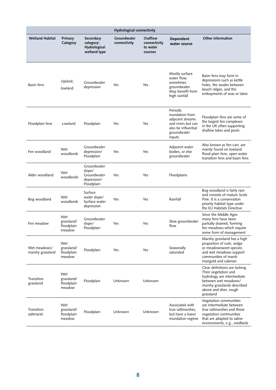|                                  |                                           |                                                                   | Hydrological connectivity   |                                                |                                                                                                                       |                                                                                                                                                                                    |
|----------------------------------|-------------------------------------------|-------------------------------------------------------------------|-----------------------------|------------------------------------------------|-----------------------------------------------------------------------------------------------------------------------|------------------------------------------------------------------------------------------------------------------------------------------------------------------------------------|
| <b>Wetland Habitat</b>           | Primary<br>Category                       | Secondary<br>category:<br>Hydrological<br>wetland type            | Groundwater<br>connectivity | Outflow<br>connectivity<br>to water<br>courses | <b>Dependent</b><br>water source                                                                                      | Other information                                                                                                                                                                  |
| Basin fens                       | Upland;<br>lowland                        | Groundwater<br>depression                                         | Yes                         | Yes                                            | Mostly surface<br>water flow,<br>sometimes<br>groundwater.<br>May benefit from<br>high rainfall                       | Basin fens may form in<br>depressions such as kettle<br>holes, the swales between<br>beach ridges, and the<br>embayments of seas or lakes                                          |
| Floodplain fens                  | Lowland                                   | Floodplain                                                        | Yes                         | Yes                                            | Periodic<br>inundation from<br>adjacent streams<br>and rivers but can<br>also be influential<br>groundwater<br>inputs | Floodplain fens are some of<br>the largest fen complexes<br>in the UK often supporting<br>shallow lakes and pools                                                                  |
| Fen woodland                     | Wet<br>woodlands                          | Groundwater<br>depression/<br>Floodplain                          | Yes                         | Yes                                            | Adjacent water<br>bodies, or else<br>groundwater                                                                      | Also known as fen-carr, are<br>mainly found on lowland<br>flood-plain fens, open water<br>transition fens and basin fens                                                           |
| Alder woodland                   | Wet<br>woodlands                          | Groundwater<br>slope/<br>Groundwater<br>depression/<br>Floodplain | Yes                         | Yes                                            | Floodplains                                                                                                           |                                                                                                                                                                                    |
| Bog woodland                     | Wet<br>woodlands                          | Surface<br>water slope/<br>Surface water<br>depression            | Yes                         | Yes                                            | Rainfall                                                                                                              | Bog woodland is fairly rare<br>and consists of mature Scots<br>Pine. It is a conservation<br>priority habitat type under<br>the EU Habitats Directive                              |
| Fen meadow                       | Wet<br>grassland/<br>floodplain<br>meadow | Groundwater<br>slope/<br>Floodplain                               | Yes                         | Yes                                            | Slow groundwater<br>flow                                                                                              | Since the Middle Ages<br>many fens have been<br>partially drained, forming<br>fen meadows which require<br>some form of management                                                 |
| Wet meadows/<br>marshy grassland | Wet<br>grassland/<br>floodplain<br>meadow | Floodplain                                                        | Yes                         | Yes                                            | Seasonally<br>saturated                                                                                               | Marshy grassland has a high<br>proportion of rush, sedge<br>or meadowsweet species;<br>and wet meadows support<br>communities of marsh<br>marigold and valerian                    |
| Transition<br>grassland          | Wet<br>grassland/<br>floodplain<br>meadow | Floodplain                                                        | Unknown                     | Unknown                                        |                                                                                                                       | Clear definitions are lacking.<br>Their vegetation and<br>hydrology are intermediate<br>between wet meadows/<br>marshy grasslands described<br>above and drier, rough<br>grassland |
| Transition<br>saltmarsh          | Wet<br>grassland/<br>floodplain<br>meadow | Floodplain                                                        | Unknown                     | Unknown                                        | Associated with<br>true saltmarshes.<br>but have a lower<br>inundation regime                                         | Vegetation communities<br>are intermediate between<br>true saltmarshes and those<br>vegetation communities<br>that are adapted to saline<br>environments, e.g., reedbeds           |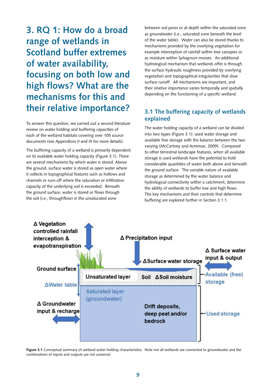**3. RQ 1: How do a broad range of wetlands in Scotland buffer extremes of water availability, focusing on both low and high flows? What are the mechanisms for this and their relative importance?** 

To answer this question, we carried out a second literature review on water holding and buffering capacities of each of the wetland habitats covering over 105 source documents (see Appendices II and III for more details).

The buffering capacity of a wetland is primarily dependent on its available water holding capacity (Figure 3.1). There are several mechanisms by which water is stored. Above the ground, surface water is stored as open water where it collects in topographical features such as hollows and channels or runs off where the saturation or infiltration capacity of the underlying soil is exceeded. Beneath the ground surface, water is stored or flows through the soil (i.e., throughflow) in the unsaturated zone

between soil pores or at depth within the saturated zone as groundwater (i.e., saturated zone beneath the level of the water table). Water can also be stored thanks to mechanisms provided by the overlying vegetation for example interception of rainfall within tree canopies or as moisture within *Sphagnum* mosses. An additional hydrological mechanism that wetlands offer is through the surface hydraulic roughness provided by overlying vegetation and topographical irregularities that slow surface runoff. All mechanisms are important, and their relative importance varies temporally and spatially depending on the functioning of a specific wetland.

# **3.1 The buffering capacity of wetlands explained**

The water holding capacity of a wetland can be divided into two types (Figure 3.1): used water storage and available free storage with the balance between the two varying (McCartney and Acreman, 2009). Compared to other terrestrial landscape features, when all available storage is used wetlands have the potential to hold considerable quantities of water both above and beneath the ground surface. The variable nature of available storage as determined by the water balance and hydrological connectivity within a catchment, determine the ability of wetlands to buffer low and high flows. The key mechanisms and their controls that determine buffering are explored further in Section 3.1.1.



**Figure 3.1** Conceptual summary of wetland water holding characteristics. Note not all wetlands are connected to groundwater and the combinations of inputs and outputs are not universal.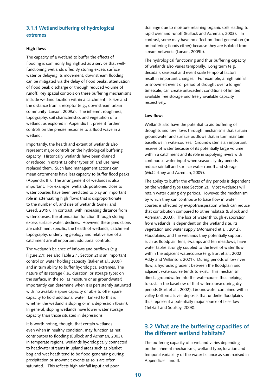## **3.1.1 Wetland buffering of hydrological extremes**

#### **High flows**

The capacity of a wetland to buffer the effects of flooding is commonly highlighted as a service that wellfunctioning wetlands offer. By storing excess surface water or delaying its movement, downstream flooding can be mitigated via the delay of flood peaks, attenuation of flood peak discharge or through reduced volume of runoff. Key spatial controls on these buffering mechanisms include wetland location within a catchment, its size and the distance from a receptor (e.g., downstream urban community; Larson, 2009a). The inherent roughness, topography, soil characteristics and vegetation of a wetland, as explored in Appendix III, present further controls on the precise response to a flood wave in a wetland.

Importantly, the health and extent of wetlands also represent major controls on the hydrological buffering capacity. Historically wetlands have been drained or reduced in extent as other types of land use have replaced them. Such land management actions can mean catchments have less capacity to buffer flood peaks (Appendix III). The arrangement of wetlands is also important. For example, wetlands positioned close to water courses have been predicted to play an important role in attenuating high flows that is disproportionate to the number of, and size of wetlands (Ameli and Creed, 2019). In contrast, with increasing distance from watercourses, the attenuation function through storing excess surface water, declines. However, these predictions are catchment specific; the health of wetlands, catchment topography, underlying geology and relative size of a catchment are all important additional controls.

The wetland's balance of inflows and outflows (e.g., Figure 2.1; see also Table 2.1, Section 2) is an important control on water holding capacity (Baker et al., 2009) and in turn ability to buffer hydrological extremes. The nature of its storage (i.e., duration, or storage type: on the surface, in the soil as moisture or as groundwater) importantly can determine when it is persistently saturated with no available spare capacity or able to offer spare capacity to hold additional water. Linked to this is whether the wetland is sloping or in a depression (basin). In general, sloping wetlands have lower water storage capacity than those situated in depressions.

It is worth noting, though, that certain wetlands even when in healthy condition, may function as net contributors to flooding (Bullock and Acreman, 2003). In temperate regions, wetlands hydrologically connected to headwater streams in upland areas such as blanket bog and wet heath tend to be flood generating during precipitation or snowmelt events as soils are often saturated. This reflects high rainfall input and poor

drainage due to moisture retaining organic soils leading to rapid overland runoff (Bullock and Acreman, 2003). In contrast, some may have no effect on flood generation (or on buffering floods either) because they are isolated from stream networks (Larson, 2009b).

The hydrological functioning and thus buffering capacity of wetlands also varies temporally. Long term (e.g. decadal), seasonal and event scale temporal factors result in important changes. For example, a high rainfall or snowmelt event or period of drought over a longer timescale, can create antecedent conditions of limited available free storage and freely available capacity respectively.

#### **Low flows**

Wetlands also have the potential to aid buffering of droughts and low flows through mechanisms that sustain groundwater and surface outflows that in turn maintain baseflows in watercourses. Groundwater is an important reserve of water because of its potentially large volume within a catchment and its role in supplying rivers with continuous water input when seasonally dry periods reduce rainfall and surface water runoff and storage (McCartney and Acreman, 2009).

The ability to buffer the effects of dry periods is dependent on the wetland type (see Section 2). Most wetlands will retain water during dry periods. However, the mechanism by which they can contribute to base flow in water courses is affected by evapotranspiration which can reduce that contribution compared to other habitats (Bullock and Acreman, 2003). The loss of water through evaporation from wetlands, is dependent on the wetland site, its vegetation and water supply (Mohamed et al., 2012). Floodplains, and the wetlands they potentially support such as floodplain fens, swamps and fen meadows, have water tables strongly coupled to the level of water flow within the adjacent watercourse (e.g. Burt et al., 2002; Addy and Wilkinson, 2021). During periods of low river flow, a hydraulic gradient between the floodplain and adjacent watercourse tends to exist. This mechanism directs groundwater into the watercourse thus helping to sustain the baseflow of that watercourse during dry periods (Burt et al., 2002). Groundwater contained within valley bottom alluvial deposits that underlie floodplains thus represent a potentially major source of baseflow (Tetzlaff and Soulsby, 2008).

## **3.2 What are the buffering capacities of the different wetland habitats?**

The buffering capacity of a wetland varies depending on the inherent mechanisms, wetland type, location and temporal variability of the water balance as summarised in Appendices I and II.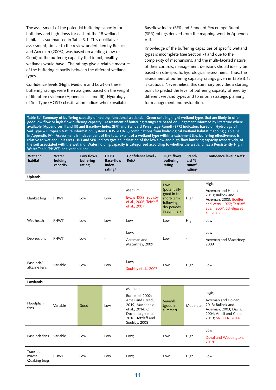The assessment of the potential buffering capacity for both low and high flows for each of the 18 wetland habitats is summarised in Table 3.1. This qualitative assessment, similar to the review undertaken by Bullock and Acreman (2003), was based on a rating (Low or Good) of the buffering capacity that intact, healthy wetlands would have. The ratings give a relative measure of the buffering capacity between the different wetland types.

Confidence levels (High, Medium and Low) on these buffering ratings were then assigned based on the weight of literature evidence (Appendices II and III), Hydrology of Soil Type (HOST) classification indices where available

Baseflow Index (BFI) and Standard Percentage Runoff (SPR) ratings derived from the mapping work in Appendix VIII.

Knowledge of the buffering capacities of specific wetland types is incomplete (see Section 7) and due to the complexity of mechanisms, and the multi-faceted nature of their controls, management decisions should ideally be based on site-specific hydrological assessment. Thus, the assessment of buffering capacity ratings given in Table 3.1. is cautious. Nevertheless, this summary provides a starting point to predict the level of buffering capacity offered by different wetland types and to inform strategic planning for management and restoration.

**Table 3.1 Summary of buffering capacity of healthy, functional wetlands. Green cells highlight wetland types that are likely to offer good low flow or high flow buffering capacity. Assessment of buffering ratings are based on judgement informed by literature where available (Appendices II and III) and Baseflow Index (BFI) and Standard Percentage Runoff (SPR) indicators based on Hydrology of Soil Type – European Nature Information System (HOST-EUNIS) combinations from hydrological wetland habitat mapping (Table 5e in Appendix IV). Assessment is independent of the total extent of a wetland type within a catchment (i.e. buffering effectiveness is relative to wetland unit area). BFI and SPR indices give an indication of the low flow and high flow buffering capacity respectively, of the soil associated with the wetland. Water holding capacity is categorised according to whether the wetland has a Persistently High Water Table (PHWT) or a variable one.** 

| Wetland<br>habitat                   | Water<br>holding<br>capacity | Low flows<br>buffering<br>rating | <b>HOST</b><br><b>Base-flow</b><br>index<br>rating <sup>1</sup> | Confidence level /<br>Refs <sup>3</sup>                                                                                                   | <b>High flows</b><br>buffering<br>rating                                            | Stand-<br>ard $%$<br>runoff<br>rating <sup>2</sup> | Confidence level / Refs <sup>3</sup>                                                                                                      |
|--------------------------------------|------------------------------|----------------------------------|-----------------------------------------------------------------|-------------------------------------------------------------------------------------------------------------------------------------------|-------------------------------------------------------------------------------------|----------------------------------------------------|-------------------------------------------------------------------------------------------------------------------------------------------|
| <b>Uplands</b>                       |                              |                                  |                                                                 |                                                                                                                                           |                                                                                     |                                                    |                                                                                                                                           |
|                                      |                              |                                  |                                                                 |                                                                                                                                           | Low                                                                                 |                                                    | High;                                                                                                                                     |
| Blanket bog                          | <b>PHWT</b>                  | Low                              | Low                                                             | Medium;<br>Evans 1999; Soulsby<br>et al., 2006; Tetzlaff<br>et al., 2007                                                                  | (potentially<br>good in the<br>short-term<br>following<br>dry periods<br>in summer) | High                                               | Acreman and Holden,<br>2013; Bullock and<br>Acreman, 2003; Boelter<br>and Verry, 1977; Tetzlaff<br>et al., 2007; Scheliga et<br>al., 2018 |
| Wet heath                            | <b>PHWT</b>                  | Low                              | Low                                                             | Low                                                                                                                                       | Low                                                                                 | High                                               | Low                                                                                                                                       |
|                                      |                              |                                  |                                                                 | Low:                                                                                                                                      |                                                                                     |                                                    | Low:                                                                                                                                      |
| Depressions                          | <b>PHWT</b>                  | Low                              |                                                                 | Acreman and<br>Macartney, 2009                                                                                                            | Low                                                                                 |                                                    | Acreman and Macartney,<br>2009                                                                                                            |
| Base rich/<br>alkaline fens          | Variable                     | Low                              | Low                                                             | Low;<br>Soulsby et al., 2007                                                                                                              | Low                                                                                 | High                                               | Low                                                                                                                                       |
| Lowlands                             |                              |                                  |                                                                 |                                                                                                                                           |                                                                                     |                                                    |                                                                                                                                           |
|                                      |                              |                                  |                                                                 | Medium;                                                                                                                                   |                                                                                     |                                                    |                                                                                                                                           |
| Floodplain<br>fens                   | Variable                     | Good                             | Low                                                             | Burt et al. 2002;<br>Ameli and Creed,<br>2019; Macdonald<br>et al., 2014; O<br>Dochertaigh et al.,<br>2018; Tetzlaff and<br>Soulsby, 2008 | Variable<br>(good in<br>summer)                                                     | Moderate                                           | High;<br>Acreman and Holden,<br>2013; Bullock and<br>Acreman, 2003; Davis,<br>2004; Ameli and Creed,<br>2019; SNIFFER, 2014               |
|                                      |                              |                                  |                                                                 |                                                                                                                                           |                                                                                     |                                                    | Low;                                                                                                                                      |
| Base rich fens                       | Variable                     | Low                              | Low                                                             | Low;                                                                                                                                      | Low                                                                                 | High                                               | Duval and Waddington,<br>2018                                                                                                             |
| Transition<br>mires/<br>Quaking bogs | <b>PHWT</b>                  | Low                              | Low                                                             | Low;                                                                                                                                      | Low                                                                                 | High                                               | Low                                                                                                                                       |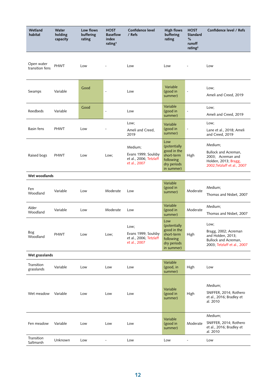| Wetland<br>habitat            | Water<br>holding<br>capacity | Low flows<br>buffering<br>rating | <b>HOST</b><br><b>Baseflow</b><br>index<br>rating <sup>1</sup> | Confidence level<br>/ Refs                                               | <b>High flows</b><br>buffering<br>rating                                                   | <b>HOST</b><br><b>Standard</b><br>%<br>runoff<br>rating <sup>2</sup> | Confidence level / Refs                                                                                    |
|-------------------------------|------------------------------|----------------------------------|----------------------------------------------------------------|--------------------------------------------------------------------------|--------------------------------------------------------------------------------------------|----------------------------------------------------------------------|------------------------------------------------------------------------------------------------------------|
| Open water<br>transition fens | <b>PHWT</b>                  | Low                              |                                                                | Low                                                                      | Low                                                                                        |                                                                      | Low                                                                                                        |
| Swamps                        | Variable                     | Good                             | $\overline{\phantom{a}}$                                       | Low                                                                      | Variable<br>(good in<br>summer)                                                            | $\overline{\phantom{a}}$                                             | Low;<br>Ameli and Creed, 2019                                                                              |
| Reedbeds                      | Variable                     | Good                             | $\blacksquare$                                                 | Low                                                                      | Variable<br>(good in<br>summer)                                                            | $\overline{\phantom{a}}$                                             | Low;<br>Ameli and Creed, 2019                                                                              |
| Basin fens                    | <b>PHWT</b>                  | Low                              |                                                                | Low;<br>Ameli and Creed,<br>2019                                         | Variable<br>(good in<br>summer)                                                            | $\overline{\phantom{a}}$                                             | Low;<br>Lane et al., 2018; Ameli<br>and Creed, 2019                                                        |
| Raised bogs                   | <b>PHWT</b>                  | Low                              | Low;                                                           | Medium;<br>Evans 1999; Soulsby<br>et al., 2006; Tetzlaff<br>et al., 2007 | Low<br>(potentially<br>good in the<br>short-term<br>following<br>dry periods<br>in summer) | High                                                                 | Medium;<br>Bullock and Acreman,<br>2003; Acreman and<br>Holden, 2013; Bragg,<br>2002;Tetzlaff et al., 2007 |
| Wet woodlands                 |                              |                                  |                                                                |                                                                          |                                                                                            |                                                                      |                                                                                                            |
| Fen<br>Woodland               | Variable                     | Low                              | Moderate                                                       | Low                                                                      | Variable<br>(good in<br>summer)                                                            | Moderate                                                             | Medium;<br>Thomas and Nisbet, 2007                                                                         |
| Alder<br>Woodland             | Variable                     | Low                              | Moderate                                                       | Low                                                                      | Variable<br>(good in<br>summer)                                                            | Moderate                                                             | Medium;<br>Thomas and Nisbet, 2007                                                                         |
| Bog<br>Woodland               | <b>PHWT</b>                  | Low                              | Low;                                                           | Low;<br>Evans 1999; Soulsby<br>et al., 2006; Tetzlaff<br>et al., 2007    | Low<br>(potentially<br>good in the<br>short-term<br>following<br>dry periods<br>in summer) | High                                                                 | Low;<br>Bragg, 2002; Acreman<br>and Holden, 2013;<br>Bullock and Acreman,<br>2003; Tetzlaff et al., 2007   |
| Wet grasslands                |                              |                                  |                                                                |                                                                          |                                                                                            |                                                                      |                                                                                                            |
| Transition<br>grasslands      | Variable                     | Low                              | Low                                                            | Low                                                                      | Variable<br>(good, in<br>summer)                                                           | High                                                                 | Low                                                                                                        |
| Wet meadow                    | Variable                     | Low                              | Low                                                            | Low                                                                      | Variable<br>(good in<br>summer)                                                            | High                                                                 | Medium;<br>SNIFFER, 2014; Rothero<br>et al., 2016; Bradley et<br>al. 2010                                  |
| Fen meadow                    | Variable                     | Low                              | Low                                                            | Low                                                                      | Variable<br>(good in<br>summer)                                                            | Moderate                                                             | Medium;<br>SNIFFER, 2014; Rothero<br>et al., 2016; Bradley et<br>al. 2010                                  |
| Transition<br>Saltmarsh       | Unknown                      | Low                              |                                                                | Low                                                                      | Low                                                                                        |                                                                      | Low                                                                                                        |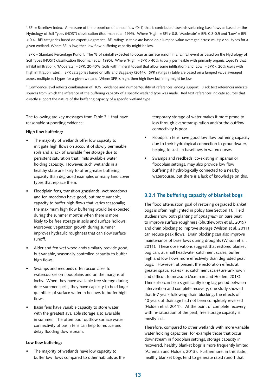1 BFI = Baseflow Index. A measure of the proportion of annual flow (0-1) that is contributed towards sustaining baseflows as based on the Hydrology of Soil Types (HOST) classification (Boorman et al. 1995). Where 'High' = BFI > 0.8, 'Moderate' = BFI: 0.8-0.5 and 'Low' = BFI < 0.4. BFI categories based on expert judgement. BFI ratings in table are based on a lumped value averaged across multiple soil types for a given wetland. Where BFI is low, then low flow buffering capacity might be low.

<sup>2</sup> SPR = Standard Percentage Runoff. The % of rainfall expected to occur as surface runoff in a rainfall event as based on the Hydrology of Soil Types (HOST) classification (Boorman et al. 1995). Where 'High' = SPR > 40% (slowly permeable with primarily organic topsoil's that inhibit infiltration), 'Moderate' = SPR: 20-40% (soils with mineral topsoil that allow some infiltration) and 'Low' = SPR < 20% (soils with high infiltration rates). SPR categories based on Lilly and Baggaley (2014). SPR ratings in table are based on a lumped value averaged across multiple soil types for a given wetland. Where SPR is high, then high flow buffering might be low.

<sup>3</sup> Confidence level reflects combination of HOST evidence and number/quality of references lending support. Black text references indicate sources from which the inference of the buffering capacity of a specific wetland type was made. Red text references indicate sources that directly support the nature of the buffering capacity of a specific wetland type.

The following are key messages from Table 3.1 that have reasonable supporting evidence:

#### **High flow buffering:**

- The majority of wetlands offer low capacity to mitigate high flows on account of slowly permeable soils and a lack of available free storage due to persistent saturation that limits available water holding capacity. However, such wetlands in a healthy state are likely to offer greater buffering capacity than degraded examples or many land cover types that replace them.
- Floodplain fens, transition grasslands, wet meadows and fen meadows have good, but more variable, capacity to buffer high flows that varies seasonally; the maximum high flow buffering would be expected during the summer months when there is more likely to be free storage in soils and surface hollows. Moreover, vegetation growth during summer improves hydraulic roughness that can slow surface runoff.
- Alder and fen wet woodlands similarly provide good, but variable, seasonally controlled capacity to buffer high flows.
- Swamps and reedbeds often occur close to watercourses on floodplains and on the margins of lochs. When they have available free storage during drier summer spells, they have capacity to hold large quantities of surface water in hollows to buffer high flows.
- Basin fens have variable capacity to store water with the greatest available storage also available in summer. The often poor outflow surface water connectivity of basin fens can help to reduce and delay flooding downstream.

#### **Low flow buffering:**

The majority of wetlands have low capacity to buffer low flows compared to other habitats as the

temporary storage of water makes it more prone to loss through evapotranspiration and/or the outflow connectivity is poor.

- Floodplain fens have good low flow buffering capacity due to their hydrological connection to groundwater, helping to sustain baseflows in watercourses.
- Swamps and reedbeds, co-existing in riparian or floodplain settings, may also provide low flow buffering if hydrologically connected to a nearby watercourse, but there is a lack of knowledge on this.

### **3.2.1 The buffering capacity of blanket bogs**

The flood attenuation goal of restoring degraded blanket bogs is often highlighted in policy (see Section 1). Field studies show both planting of *Sphagnum* on bare peat to improve surface roughness (Shuttleworth et al., 2019) and drain blocking to improve storage (Wilson et al. 2011) can reduce peak flows. Drain blocking can also improve maintenance of baseflows during droughts (Wilson et al., 2011). These observations suggest that restored blanket bog can, at small headwater catchment scales, buffer high and low flows more effectively than degraded peat bogs. However, at present the restoration effects at greater spatial scales (i.e. catchment scale) are unknown and difficult to measure (Acreman and Holden, 2013). There also can be a significantly long lag period between intervention and complete recovery; one study showed that 6-7 years following drain blocking, the effects of 40 years of drainage had not been completely reversed (Holden et al. 2011). At the point of complete recovery with re-saturation of the peat, free storage capacity is mostly lost.

Therefore, compared to other wetlands with more variable water holding capacities, for example those that occur downstream in floodplain settings, storage capacity in recovered, healthy blanket bogs is more frequently limited (Acreman and Holden, 2013). Furthermore, in this state, healthy blanket bogs tend to generate rapid runoff that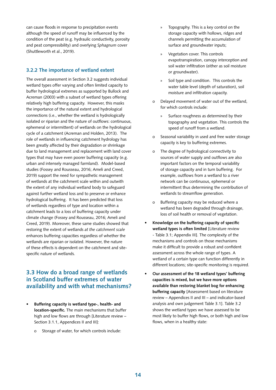can cause floods in response to precipitation events although the speed of runoff may be influenced by the condition of the peat (e.g. hydraulic conductivity, porosity and peat compressibility) and overlying *Sphagnum* cover (Shuttleworth et al., 2019).

### **3.2.2 The importance of wetland extent**

The overall assessment in Section 3.2 suggests individual wetland types offer varying and often limited capacity to buffer hydrological extremes as supported by Bullock and Acreman (2003) with a subset of wetland types offering relatively high buffering capacity. However, this masks the importance of the natural extent and hydrological connections (i.e., whether the wetland is hydrologically isolated or riparian and the nature of outflows: continuous, ephemeral or intermittent) of wetlands on the hydrological cycle of a catchment (Acreman and Holden, 2013). The role of wetlands in influencing catchment hydrology has been greatly affected by their degradation or shrinkage due to land management and replacement with land cover types that may have even poorer buffering capacity (e.g. urban and intensely managed farmland). Model-based studies (Fossey and Rousseau, 2016; Ameli and Creed, 2019) support the need for sympathetic management of wetlands at the catchment scale within and outwith the extent of any individual wetland body to safeguard against further wetland loss and to preserve or enhance hydrological buffering. It has been predicted that loss of wetlands regardless of type and location within a catchment leads to a loss of buffering capacity under climate change (Fossey and Rousseau, 2016; Ameli and Creed, 2019). Moreover, these same studies showed that restoring the extent of wetlands *at the catchment scale*  enhances buffering capacities regardless of whether the wetlands are riparian or isolated. However, the nature of these effects is dependent on the catchment and sitespecific nature of wetlands.

# **3.3 How do a broad range of wetlands in Scotland buffer extremes of water availability and with what mechanisms?**

- **• Buffering capacity is wetland type-, health- and location-specific.** The main mechanisms that buffer high and low flows are through [Literature review – Section 3.1.1, Appendices II and III]:
	- o Storage of water, for which controls include:
- » Topography. This is a key control on the storage capacity with hollows, ridges and channels permitting the accumulation of surface and groundwater inputs;
- » Vegetation cover. This controls evapotranspiration, canopy interception and soil water infiltration (either as soil moisture or groundwater).
- » Soil type and condition. This controls the water table level (depth of saturation), soil moisture and infiltration capacity.
- o Delayed movement of water out of the wetland, for which controls include:
	- Surface roughness as determined by their topography and vegetation. This controls the speed of runoff from a wetland.
- o Seasonal variability in used and free water storage capacity is key to buffering extremes.
- o The degree of hydrological connectivity to sources of water supply and outflows are also important factors on the temporal variability of storage capacity and in turn buffering. For example, outflows from a wetland to a river network can be continuous, ephemeral or intermittent thus determining the contribution of wetlands to streamflow generation.
- o Buffering capacity may be reduced where a wetland has been degraded through drainage, loss of soil health or removal of vegetation.
- **• Knowledge on the buffering capacity of specific wetland types is often limited** [Literature review - Table 3.1; Appendix III]. The complexity of the mechanisms and controls on those mechanisms make it difficult to provide a robust and confident assessment across the whole range of types. A wetland of a certain type can function differently in different locations; site-specific monitoring is required.
- **• Our assessment of the 18 wetland types' buffering capacities is mixed, but we have more options available than restoring blanket bog for enhancing buffering capacity** [Assessment based on literature review – Appendices II and III – and indicator-based analysis and own judgement Table 3.1]. Table 3.2 shows the wetland types we have assessed to be most likely to buffer high flows, or both high and low flows, when in a healthy state: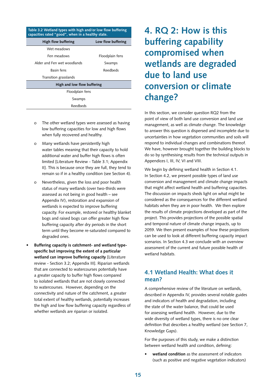| Table 3.2 Wetland types with high and/or low flow buffering<br>capacities rated "good", when in a healthy state. |                    |  |  |  |  |
|------------------------------------------------------------------------------------------------------------------|--------------------|--|--|--|--|
| High flow buffering                                                                                              | Low flow buffering |  |  |  |  |
| Wet meadows                                                                                                      |                    |  |  |  |  |
| Fen meadows                                                                                                      | Floodplain fens    |  |  |  |  |
| Alder and Fen wet woodlands                                                                                      | Swamps             |  |  |  |  |
| Basin fens                                                                                                       | Reedbeds           |  |  |  |  |
| Transition grasslands                                                                                            |                    |  |  |  |  |
| High and low flow buffering                                                                                      |                    |  |  |  |  |
| Floodplain fens                                                                                                  |                    |  |  |  |  |
| Swamps                                                                                                           |                    |  |  |  |  |
| Reedbeds                                                                                                         |                    |  |  |  |  |

- o The other wetland types were assessed as having low buffering capacities for low and high flows when fully recovered and healthy.
- o Many wetlands have persistently high water tables meaning that their capacity to hold additional water and buffer high flows is often limited [Literature Review - Table 3.1; Appendix II]. This is because once they are full, they tend to remain so if in a healthy condition (see Section 4).
- o Nevertheless, given the loss and poor health status of many wetlands (over two-thirds were assessed as not being in good health – see Appendix IV), restoration and expansion of wetlands is expected to improve buffering capacity. For example, restored or healthy blanket bogs and raised bogs can offer greater high flow buffering capacity after dry periods in the short term until they become re-saturated compared to degraded ones.
- **• Buffering capacity is catchment- and wetland typespecific but improving the extent of a particular wetland can improve buffering capacity** [Literature review - Section 3.2; Appendix III]. Riparian wetlands that are connected to watercourses potentially have a greater capacity to buffer high flows compared to isolated wetlands that are not closely connected to watercourses. However, depending on the connectivity and nature of the catchment, a greater total extent of healthy wetlands, potentially increases the high and low flow buffering capacity regardless of whether wetlands are riparian or isolated.

# **4. RQ 2: How is this buffering capability compromised when wetlands are degraded due to land use conversion or climate change?**

In this section, we consider question RQ2 from the point of view of both land use conversion and land use management, as well as climate change. The knowledge to answer this question is dispersed and incomplete due to uncertainties in how vegetation communities and soils will respond to individual changes and combinations thereof. We have, however brought together the building blocks to do so by synthesising results from the technical outputs in Appendices I, III, IV, VI and VIII.

We begin by defining wetland health in Section 4.1. In Section 4.2, we present possible types of land use conversion and management and climate change impacts that might affect wetland health and buffering capacities. The discussion on impacts sheds light on what might be considered as the consequences for the different wetland habitats when they are in poor health. We then explore the results of climate projections developed as part of the project. This provides projections of the possible spatial and temporal nature of climate change impacts, up to 2059. We then present examples of how these projections can be used to look at different buffering capacity impact scenarios. In Section 4.3 we conclude with an overview assessment of the current and future possible health of wetland habitats.

# **4.1 Wetland Health: What does it mean?**

A comprehensive review of the literature on wetlands, described in Appendix IV, provides several notable guides and indicators of health and degradation, including the state of the water balance, that could be used for assessing wetland health. However, due to the wide diversity of wetland types, there is no one clear definition that describes a healthy wetland (see Section 7, Knowledge Gaps).

For the purposes of this study, we make a distinction between wetland health and condition, defining:

**• wetland condition** as the assessment of indicators (such as positive and negative vegetation indicators)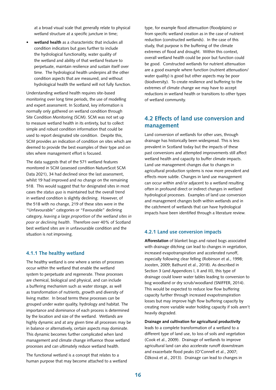at a broad visual scale that generally relate to physical wetland structure at a specific juncture in time:

**• wetland health** as a characteristic that includes all condition indicators but goes further to include the hydrological functionality, water quality of the wetland and ability of that wetland feature to perpetuate, maintain resilience and sustain itself over time. The hydrological health underpins all the other condition aspects that are measured, and without hydrological health the wetland will not fully function.

Understanding wetland health requires site-based monitoring over long time periods, the use of modelling and expert assessment. In Scotland, key information is normally only gathered on wetland condition through Site Condition Monitoring (SCM). SCM was not set up to measure wetland health in its entirety, but to collect simple and robust condition information that could be used to report designated site condition. Despite this, SCM provides an indication of condition on sites which are deemed to provide the best examples of their type and on sites where management effort is focused.

The data suggests that of the 571 wetland features monitored in SCM (assessed condition NatureScot SCM Data 2021), 34 had declined since the last assessment, whilst 19 had improved and no change on the remaining 518. This would suggest that for designated sites in most cases the *status quo* is maintained but the overall trend in wetland condition is slightly declining. However, of the 518 with no change, 219 of these sites were in the "Unfavourable" categories or "Favourable" declining category, *leaving a large proportion of the wetland sites in poor or declining health*. Therefore over 40% of Scotland best wetland sites are in unfavourable condition and the situation is not improving.

#### **4.1.1 The healthy wetland**

The healthy wetland is one where a series of processes occur within the wetland that enable the wetland system to perpetuate and regenerate. These processes are chemical, biological and physical, and can include a buffering mechanism such as water storage, as well as transformation of nutrients, growth and diversity of living matter. In broad terms these processes can be grouped under water quality, hydrology and habitat. The importance and dominance of each process is determined by the location and size of the wetland. Wetlands are highly dynamic and at any given time all processes may be in balance or alternatively, certain aspects may dominate. This dynamic becomes further complicated when land management and climate change influence those wetland processes and can ultimately reduce wetland health.

The functional wetland is a concept that relates to a human purpose that may become attached to a wetland type, for example flood attenuation (floodplains) or from specific wetland creation as in the case of nutrient reduction (constructed wetlands). In the case of this study, that purpose is the buffering of the climate extremes of flood and drought. Within this context, overall wetland health could be poor but function could be good. Constructed wetlands for nutrient attenuation are a good example where function (nutrient attenuation/ water quality) is good but other aspects may be poor (biodiversity). To create resilience and buffering to the extremes of climate change we may have to accept reductions in wetland health or transitions to other types of wetland community.

# **4.2 Effects of land use conversion and management**

Land conversion of wetlands for other uses, through drainage has historically been widespread. This is less prevalent in Scotland today but the impacts of these past conversions and attempted improvements still affect wetland health and capacity to buffer climate impacts. Land use management changes due to changes in agricultural production systems is now more prevalent and effects more subtle. Changes in land use management can occur within and/or adjacent to a wetland resulting often in profound direct or indirect changes in wetland hydrological processes. Examples of land use conversion and management changes both within wetlands and in the catchment of wetlands that can have hydrological impacts have been identified through a literature review.

#### **4.2.1 Land use conversion impacts**

**Afforestation** of blanket bogs and raised bogs associated with drainage ditching can lead to changes in vegetation, increased evapotranspiration and accelerated runoff, especially following clear felling (Robinson et al., 1998; Joosten, 2009; Bathurst et al., 2018). As described in Section 3 (and Appendices I, II and III), this type of drainage could lower water tables leading to conversion to bog woodland or dry scrub/woodland (SNIFFER, 2014). This would be expected to reduce low flow buffering capacity further through increased evapotranspiration losses but may improve high flow buffering capacity by creating more variable water holding capacity if soils aren't heavily degraded.

**Drainage and cultivation for agricultural productivity** leads to a complete transformation of a wetland to a different type of land use, to loss of soils and vegetation (Cook et al., 2009). Drainage of wetlands to improve agricultural land can also accelerate runoff downstream and exacerbate flood peaks (O'Connell et al., 2007; Čížková et al., 2013). Drainage can lead to changes in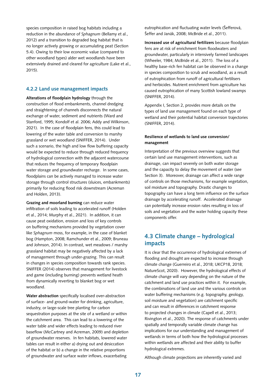species composition in raised bog habitats including a reduction in the abundance of *Sphagnum* (Bellamy et al., 2012) and a transition to degraded bog habitat that is no longer actively growing or accumulating peat (Section 5.4). Owing to their low economic value (compared to other woodland types) alder wet woodlands have been extensively drained and cleared for agriculture (Lake et al., 2015).

#### **4.2.2 Land use management impacts**

**Alterations of floodplain hydrology** through the construction of flood embankments, channel dredging and straightening of channels disconnects the natural exchange of water, sediment and nutrients (Ward and Stanford, 1995; Kondolf et al. 2006; Addy and Wilkinson, 2021). In the case of floodplain fens, this could lead to lowering of the water table and conversion to marshy grassland or wet woodland (SNIFFER, 2014). Under such a scenario, the high and low flow buffering capacity would be expected to reduce through reduced frequency of hydrological connection with the adjacent watercourse that reduces the frequency of temporary floodplain water storage and groundwater recharge. In some cases, floodplains can be actively managed to increase water storage through control structures (sluices, embankments) primarily for reducing flood risk downstream (Acreman and Holden, 2013).

**Grazing and moorland burning** can reduce water infiltration of soils leading to accelerated runoff (Holden et al., 2014; Murphy et al., 2021). In addition, it can cause peat oxidation, erosion and loss of key controls on buffering mechanisms provided by vegetation cover like *Sphagnum* moss, for example, in the case of blanket bog (Hampton, 2008; Ramchunder et al., 2009; Bruneau and Johnson, 2014). In contrast, wet meadows / marshy grassland habitat may be negatively affected by a lack of management through under-grazing. This can result in changes in species composition towards rank species. SNIFFER (2014) observes that management for livestock and game (including burning) prevents wetland heath from dynamically reverting to blanket bog or wet woodland.

**Water abstraction** specifically localised over-abstraction of surface- and ground-water for drinking, agriculture, industry, or large-scale tree planting for carbon sequestration purposes at the site of a wetland or within the catchment area. This can lead to a lowering of the water table and wider effects leading to reduced river baseflow (McCartney and Acreman, 2009) and depletion of groundwater reserves. In fen habitats, lowered water tables can result in either a) drying out and desiccation of the habitat or b) a change in the relative proportions of groundwater and surface water inflows, exacerbating

eutrophication and fluctuating water levels (Šefferová, Šeffer and Janák, 2008; McBride et al., 2011).

**Increased use of agricultural fertilizers** because floodplain fens are at risk of enrichment from floodwaters and groundwater, particularly in intensively farmed landscapes (Wheeler, 1984; McBride et al., 2011). The loss of a healthy base-rich fen habitat can be observed in a change in species composition to scrub and woodland, as a result of eutrophication from runoff of agricultural fertilisers and herbicides. Nutrient enrichment from agriculture has caused eutrophication of many Scottish lowland swamps (SNIFFER, 2014).

Appendix I, Section 2, provides more details on the types of land use management found on each type of wetland and their potential habitat conversion trajectories (SNIFFER, 2014).

#### **Resilience of wetlands to land use conversion/ management**

Interpretation of the previous overview suggests that certain land use management interventions, such as drainage, can impact severely on both water storage and the capacity to delay the movement of water (see Section 3). Moreover, drainage can affect a wide range of controls on those mechanisms, for example vegetation, soil moisture and topography. Drastic changes to topography can have a long term influence on the surface drainage by accelerating runoff. Accelerated drainage can potentially increase erosion rates resulting in loss of soils and vegetation and the water holding capacity these components offer.

## **4.3 Climate change – hydrological impacts**

It is clear that the occurrence of hydrological extremes of flooding and drought are expected to increase through climate change (Guerreiro et al., 2018; UKCP18, 2018; NatureScot, 2020). However, the hydrological effects of climate change will vary depending on the nature of the catchment and land use practices within it. For example, the combinations of land use and the various controls on water buffering mechanisms (e.g. topography, geology, soil moisture and vegetation) are catchment specific and can result in differences in catchment response to projected changes in climate (Capell et al., 2013; Rivington et al., 2020). The response of catchments under spatially and temporally variable climate change has implications for our understanding and management of wetlands in terms of both how the hydrological processes within wetlands are affected and their ability to buffer hydrological extremes.

Although climate projections are inherently varied and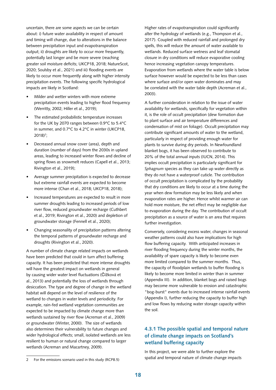uncertain, there are some aspects we can be certain about: i) future water availability in respect of amount and timing will change, due to alterations in the balance between precipitation input and evapotranspiration output; ii) droughts are likely to occur more frequently, potentially last longer and be more severe (reaching greater soil moisture deficits; UKCP18, 2018; NatureScot, 2020; Soulsby et al., 2021) and iii) flooding events are likely to occur more frequently along with higher intensity precipitation events. The following specific hydrological impacts are likely in Scotland:

- Milder and wetter winters with more extreme precipitation events leading to higher flood frequency (Werritty, 2002; Hiller et al., 2019);
- The estimated probabilistic temperature increases for the UK by 2070 ranges between 0.9°C to 5.4°C in summer, and 0.7°C to 4.2°C in winter (UKCP18, 2018)<sup>2</sup>;
- Decreased annual snow cover (area), depth and duration (number of days) from the 2030s in upland areas, leading to increased winter flows and decline of spring flows as snowmelt reduces (Capell et al., 2013; Rivington et al., 2019);
- Average summer precipitation is expected to decrease but extreme rainfall events are expected to become more intense (Chan et al., 2018; UKCP18, 2018);
- Increased temperatures are expected to result in more summer droughts leading to increased periods of low river flow, reduced groundwater recharge (Cuthbert et al., 2019; Rivington et al., 2020) and depletion of groundwater storage (Fennell et al., 2020);
- Changing seasonality of precipitation patterns altering the temporal patterns of groundwater recharge and droughts (Rivington et al., 2020).

A number of climate change related impacts on wetlands have been predicted that could in turn affect buffering capacity. It has been predicted that more intense droughts will have the greatest impact on wetlands in general by causing wider water level fluctuations (Čížková et al., 2013) and potentially the loss of wetlands through desiccation. The type and degree of change in the wetland habitat will depend on the level of resilience of the wetland to changes in water levels and periodicity. For example, rain-fed wetland vegetation communities are expected to be impacted by climate change more than wetlands sustained by river flow (Acreman et al., 2009) or groundwater (Winter, 2000). The size of wetlands also determines their vulnerability to future changes and wider hydrological effects; small, isolated wetlands are less resilient to human or natural change compared to larger wetlands (Acreman and Macartney, 2009).

Higher rates of evapotranspiration could significantly alter the hydrology of wetlands (e.g., Thompson et al., 2017). Coupled with reduced rainfall and prolonged dry spells, this will reduce the amount of water available to wetlands. Reduced surface wetness and leaf stomatal closure in dry conditions will reduce evaporative cooling hence increasing vegetation canopy temperatures. Evaporation from wetlands where the water table is below surface however would be expected to be less than cases where surface and/or open water dominates and may be correlated with the water table depth (Acreman et al., 2003).

A further consideration in relation to the issue of water availability for wetlands, specifically for vegetation within it, is the role of occult precipitation (dew formation due to plant surface and air temperature differences and condensation of mist on foliage). Occult precipitation may contribute significant amounts of water to the wetland, particularly in respect of providing enough water for plants to survive during dry periods. In Newfoundland blanket bogs, it has been observed to contribute to 20% of the total annual inputs (IUCN, 2014). This implies occult precipitation is particularly significant for *Sphagnum* species as they can take up water directly as they do not have a waterproof cuticle. The contribution of occult precipitation is complicated by the probability that dry conditions are likely to occur at a time during the year when dew formation may be less likely and when evaporation rates are higher. Hence whilst warmer air can hold more moisture, the net effect may be negligible due to evaporation during the day. The contribution of occult precipitation as a source of water is an area that requires further investigation.

Conversely, considering excess water, changes in seasonal weather patterns could also have implications for high flow buffering capacity. With anticipated increases in river flooding frequency during the winter months, the availability of spare capacity is likely to become even more limited compared to the summer months. Thus, the capacity of floodplain wetlands to buffer flooding is likely to become more limited in winter than in summer (Appendix III). In addition, blanket bogs and raised bogs may become more vulnerable to erosion and catastrophic "bog-burst" events due to increased intense rainfall events (Appendix I), further reducing the capacity to buffer high and low flows by reducing water storage capacity within the soil.

## **4.3.1 The possible spatial and temporal nature of climate change impacts on Scotland's wetland buffering capacity**

In this project, we were able to further explore the spatial and temporal nature of climate change impacts

<sup>2</sup> For the emissions scenario used in this study (RCP8.5)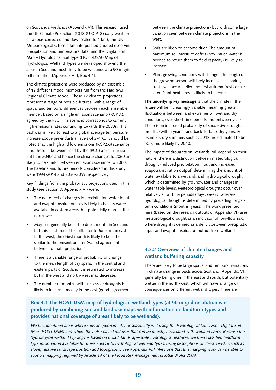on Scotland's wetlands (Appendix VI). This research used the UK Climate Projections 2018 (UKCP18) daily weather data (bias corrected and downscaled to 1 km), the UK Meteorological Office 1 km interpolated gridded observed precipitation and temperature data, and the Digital Soil Map – Hydrological Soil Type (HOST-DSM) Map of Hydrological Wetland Types we developed showing the areas in Scotland most likely to be wetlands at a 50 m grid cell resolution [Appendix VIII; Box 4.1].

The climate projections were produced by an ensemble of 12 different model members run from the HadRM3 Regional Climate Model. These 12 climate projections represent a range of possible futures, with a range of spatial and temporal differences between each ensemble member, based on a single emissions scenario (RCP.8.5) agreed by the PSG. The scenario corresponds to current high emissions rates continuing towards the 2080s. This pathway is likely to lead to a global average temperature increase above pre-industrial levels of 3-4°C. It should be noted that the high and low emissions (RCP2.6) scenarios (and those in between used by the IPCC) are similar up until the 2040s and hence the climate changes to 2060 are likely to be similar between emissions scenarios to 2060. The baseline and future periods considered in this study were 1994-2014 and 2030-2059, respectively.

Key findings from the probabilistic projections used in this study (see Section 3, Appendix VI) were:

- The net effect of changes in precipitation water input and evapotranspiration loss is likely to be less water available in eastern areas, but potentially more in the north-west.
- May has generally been the driest month in Scotland, but this is estimated to shift later to June in the east. In the west, the driest month is likely to be either similar to the present or later (varied agreement between climate projections).
- There is a variable range of probability of change to the mean length of dry spells. In the central and eastern parts of Scotland it is estimated to increase, but in the west and north-west may decrease.
- The number of months with successive droughts is likely to increase, mostly in the east (good agreement

between the climate projections) but with some large variation seen between climate projections in the west.

- Soils are likely to become drier. The amount of maximum soil moisture deficit (how much water is needed to return them to field capacity) is likely to increase.
- Plant growing conditions will change. The length of the growing season will likely increase; last spring frosts will occur earlier and first autumn frosts occur later. Plant heat stress is likely to increase.

**The underlying key message** is that the climate in the future will be increasingly variable, meaning greater fluctuations between, and extremes of, wet and dry conditions, over short time periods and between years. There is an increased probability of successive drought months (within years), and back-to-back dry years. For example, dry summers such as 2018 are estimated to be 50% more likely by 2040.

The impact of droughts on wetlands will depend on their nature; there is a distinction between meteorological drought (reduced precipitation input and increased evapotranspiration output) determining the amount of water available to a wetland, and hydrological drought, which is determined by groundwater and changes in water table levels. Meteorological droughts occur over relatively short time periods (days, weeks) whereas hydrological drought is determined by preceding longerterm conditions (months, years). The work presented here (based on the research outputs of Appendix VI) uses meteorological drought as an indicator of low-flow risk, where drought is defined as a deficit between precipitation input and evapotranspiration output from wetlands.

## **4.3.2 Overview of climate changes and wetland buffering capacity**

There are likely to be large spatial and temporal variations in climate change impacts across Scotland (Appendix VI), generally being drier in the east and south, but potentially wetter in the north-west, which will have a range of consequences on different wetland types. There are

## **Box 4.1 The HOST-DSM map of hydrological wetland types (at 50 m grid resolution was produced by combining soil and land use maps with information on landform types and provides national coverage of areas likely to be wetlands).**

We first identified areas where soils are permanently or seasonally wet using the Hydrological Soil Type - Digital Soil *Map (HOST-DSM) and where they also have land uses that can be directly associated with wetland types. Because the hydrological wetland typology is based on broad, landscape-scale hydrological features, we then classified landform type information available for these areas into hydrological wetland types, using descriptions of characteristics such as slope, relative landscape position and topography. See Appendix VIII. We hope that this mapping work can be able to support mapping required by Article 19 of the Flood Risk Management (Scotland) Act 2009.*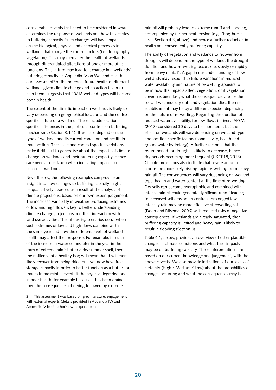considerable caveats that need to be considered in what determines the response of wetlands and how this relates to buffering capacity. Such changes will have impacts on the biological, physical and chemical processes in wetlands that change the control factors (i.e., topography, vegetation). This may then alter the health of wetlands through differentiated alterations of one or more of its functions. This in turn may lead to a change in a wetlands' buffering capacity. In Appendix IV on Wetland Health, our assessment<sup>3</sup> of the potential future health of different wetlands given climate change and no action taken to help them, suggests that 10/18 wetland types will become poor in health.

The extent of the climatic impact on wetlands is likely to vary depending on geographical location and the context specific nature of a wetland. These include locationspecific differences in the particular controls on buffering mechanisms (Section 3.1.1). It will also depend on the type of wetland, and its current condition and health in that location. These site and context specific variations make it difficult to generalise about the impacts of climate change on wetlands and their buffering capacity. Hence care needs to be taken when indicating impacts on particular wetlands.

Nevertheless, the following examples can provide an insight into how changes to buffering capacity might be qualitatively assessed as a result of the analysis of climate projections, based on our own expert judgement. The increased variability in weather producing extremes of low and high flows is key to better understanding climate change projections and their interaction with land use activities. The interesting scenarios occur when such extremes of low and high flows combine within the same year and how the different levels of wetland health may affect their response. For example, if much of the increase in water comes later in the year in the form of extreme rainfall after a dry summer spell, then the resilience of a healthy bog will mean that it will more likely recover from being dried out, yet now have free storage capacity in order to better function as a buffer for that extreme rainfall event. If the bog is a degraded one in poor health, for example because it has been drained, then the consequences of drying followed by extreme

rainfall will probably lead to extreme runoff and flooding, accompanied by further peat erosion (e.g. "bog-bursts" – see Section 4.3, above) and hence a further reduction in health and consequently buffering capacity.

The ability of vegetation and wetlands to recover from droughts will depend on the type of wetland, the drought duration and how re-wetting occurs (i.e. slowly or rapidly from heavy rainfall). A gap in our understanding of how wetlands may respond to future variations in reduced water availability and nature of re-wetting appears to be in how the impacts affect vegetation, or if vegetation cover has been lost, what the consequences are for the soils. If wetlands dry out and vegetation dies, then reestablishment may be by a different species, depending on the nature of re-wetting. Regarding the duration of reduced water availability, for low-flows in rivers, APEM (2017) considered 30 days to be short-term, but the effect on wetlands will vary depending on wetland type and location specific factors (connectivity, health and groundwater hydrology). A further factor is that the return period for droughts is likely to decrease, hence dry periods becoming more frequent (UKCP18, 2018). Climate projections also indicate that severe autumn storms are more likely, risking rapid re-wetting from heavy rainfall. The consequences will vary depending on wetland type, health and water content at the time of re-wetting. Dry soils can become hydrophobic and combined with intense rainfall could generate significant runoff leading to increased soil erosion. In contrast, prolonged low intensity rain may be more effective at rewetting soils (Doerr and Ritsema, 2006) with reduced risks of negative consequences. If wetlands are already saturated, then buffering capacity is limited and heavy rain is likely to result in flooding (Section 3).

Table 4.1, below, provides an overview of other plausible changes in climatic conditions and what their impacts may be on buffering capacity. These interpretations are based on our current knowledge and judgement, with the above caveats. We also provide indications of our levels of certainty (High / Medium / Low) about the probabilities of changes occurring and what the consequences may be.

This assessment was based on grey literature, engagement with external experts (details provided in Appendix IV) and Appendix IV lead author's own expert opinion.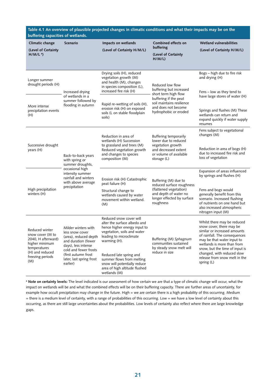| buffering capacities of wetlands.                                                                                                        |                                                                                                                                                                                                       | Table 4.1 An overview of plausible projected changes in climatic conditions and what their impacts may be on the                                                                                                                                                                                           |                                                                                                                                                 |                                                                                                                                                                                                                                                                                                       |
|------------------------------------------------------------------------------------------------------------------------------------------|-------------------------------------------------------------------------------------------------------------------------------------------------------------------------------------------------------|------------------------------------------------------------------------------------------------------------------------------------------------------------------------------------------------------------------------------------------------------------------------------------------------------------|-------------------------------------------------------------------------------------------------------------------------------------------------|-------------------------------------------------------------------------------------------------------------------------------------------------------------------------------------------------------------------------------------------------------------------------------------------------------|
| Climatic change<br>(Level of Certainty<br>$H/M/La$ )                                                                                     | Scenario                                                                                                                                                                                              | Impacts on wetlands<br>(Level of Certainty H/M/L)                                                                                                                                                                                                                                                          | Combined effects on<br>buffering<br>(Level of Certainty<br>H/M/L                                                                                | <b>Wetland vulnerabilities</b><br>(Level of Certainty H/M/L)                                                                                                                                                                                                                                          |
| Longer summer<br>drought periods (H)                                                                                                     | Increased drying                                                                                                                                                                                      | Drying soils (H), reduced<br>vegetation growth (M)<br>and health (M), changes<br>in species composition (L),<br>increased fire risk (H)                                                                                                                                                                    | Reduced low flow<br>buffering but increased<br>short term high flow                                                                             | Bogs - high due to fire risk<br>and drying (H)<br>Fens – low as they tend to                                                                                                                                                                                                                          |
| More intense<br>precipitation events<br>(H)                                                                                              | of wetlands in a<br>summer followed by<br>flooding in autumn                                                                                                                                          | Rapid re-wetting of soils (H),<br>erosion risk (H) on exposed<br>soils (L on stable floodplain<br>soils)                                                                                                                                                                                                   | buffering if the peat<br>soil maintains resilience<br>and does not become<br>hydrophobic or eroded                                              | have large stores of water (H)<br>Springs and flushes (M) These<br>wetlands can return and<br>expand quickly if water supply<br>resumes                                                                                                                                                               |
| Successive drought<br>years (H)                                                                                                          | Back-to-back years<br>with spring or<br>summer droughts,                                                                                                                                              | Reduction in area of<br>wetlands (H) Succession<br>to grassland and trees (M)<br>Reduced vegetation growth<br>and changes to species<br>composition (M)                                                                                                                                                    | Buffering temporarily<br>lower due to reduced<br>vegetation growth<br>and decreased extent<br>or volume of available<br>storage (L)             | Fens subject to vegetational<br>changes (M)<br>Reduction in area of bogs (H)<br>due to increased fire risk and<br>loss of vegetation                                                                                                                                                                  |
| High precipitation<br>winters (H)                                                                                                        | occasional high<br>intensity summer<br>rainfall and winters<br>with above average<br>precipitation                                                                                                    | Erosion risk (H) Catastrophic<br>peat failure (H)<br>Structural change to<br>wetlands caused by water<br>movement within wetland.<br>(M)                                                                                                                                                                   | Buffering (M) due to<br>reduced surface roughness<br>(flattened vegetation)<br>and depth of water no<br>longer effected by surface<br>roughness | Expansion of areas influenced<br>by springs and flushes (H)<br>Fens and bogs would<br>generally benefit from this<br>scenario. Increased flushing<br>of nutrients on one hand but<br>also increased atmospheric<br>nitrogen input (M)                                                                 |
| Reduced winter<br>snow cover (M to<br>2040, H afterward)<br>higher minimum<br>temperatures<br>(H) and reduced<br>freezing periods<br>(M) | Milder winters with<br>less snow cover<br>(area), reduced depth<br>and duration (fewer<br>days), less intense<br>cold and fewer frosts<br>(first autumn frost<br>later, last spring frost<br>earlier) | Reduced snow cover will<br>alter the surface albedo and<br>hence higher energy input to<br>vegetation, soils and water<br>leading to microclimate<br>warming (H).<br>Reduced late spring and<br>summer flows from melting<br>snow will potentially reduce<br>area of high altitude flushed<br>wetlands (M) | Buffering (M) Sphagnum<br>communities sustained<br>by steady snow melt will<br>reduce in size                                                   | Whilst there may be reduced<br>snow cover, there may be<br>similar or increased amounts<br>of rainfall. The consequences<br>may be that water input to<br>wetlands is more than from<br>snow, but the time of input is<br>changed, with reduced slow<br>release from snow melt in the<br>spring $(L)$ |

**<sup>a</sup> Note on certainty levels:** The level indicated is our assessment of how certain we are that a type of climatic change will occur, what the impact on wetlands will be and what the combined effects will be on their buffering capacity. There are further areas of uncertainty, for example how occult precipitation may change in the future. High = we are certain there is a high probability of this occurring. Medium = there is a medium level of certainty, with a range of probabilities of this occurring. Low = we have a low level of certainty about this occurring, as there are still large uncertainties about the probabilities. Low levels of certainty also reflect where there are large knowledge gaps.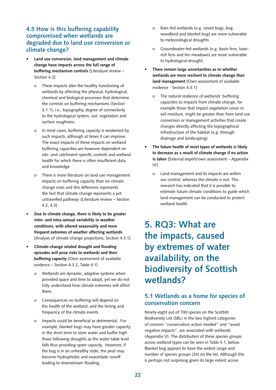# **4.5 How is this buffering capability compromised when wetlands are degraded due to land use conversion or climate change?**

- **• Land use conversion, land management and climate change have impacts across the full range of buffering mechanism controls** [Literature review – Section 4.2]
	- o These impacts alter the healthy functioning of wetlands by affecting the physical, hydrological, chemical and biological processes that determine the controls on buffering mechanisms (Section 3.1.1), i.e., topography, degree of connectivity to the hydrological system, soil, vegetation and surface roughness.
	- o In most cases, buffering capacity is weakened by such impacts, although at times it can improve. The exact impacts of these impacts on wetland buffering capacities are however dependent on site- and catchment-specific controls and wetland health for which there is often insufficient data and knowledge
	- o There is more literature on land use management impacts on buffering capacity than on climate change ones and this difference represents the fact that climate change represents a yet untravelled pathway. [Literature review – Section 4.2, 4.3]
- **• Due to climate change, there is likely to be greater inter- and intra-annual variability in weather conditions, with altered seasonality and more frequent extremes of weather affecting wetlands**  [Analysis of climate change projections, Section 4.3.1]
- **• Climate-change related drought and flooding episodes will pose risks to wetlands and their buffering capacity** [Own assessment of available evidence – Section 4.3.2, Table 4.1]
	- o Wetlands are dynamic, adaptive systems when provided space and time to adapt, yet we do not fully understand how climate extremes will affect them.
	- o Consequences on buffering will depend on the health of the wetland, and the timing and frequency of the climate events.
	- o Impacts could be beneficial or detrimental. For example, blanket bogs may have greater capacity in the short term to store water and buffer high flows following droughts as the water table level falls thus providing spare capacity. However, if the bog is in an unhealthy state, the peat may become hydrophobic and exacerbate runoff leading to downstream flooding.
- o Rain-fed wetlands (e.g. raised bogs, bog woodland and blanket bog) are more vulnerable to meteorological droughts.
- o Groundwater-fed wetlands (e.g. basin fens, baserich fens and fen meadows) are more vulnerable to hydrological drought.
- **• There remain large uncertainties as to whether wetlands are more resilient to climate change than land management** [Own assessment of available evidence - Section 4.3.1]
	- o The natural resilience of wetlands' buffering capacities to impacts from climate change, for example those that impact vegetation cover or soil moisture, might be greater than from land use conversion or management activities that create changes directly affecting the topographical infrastructure of the habitat (e.g. through drainage and landscaping).
- **• The future health of most types of wetlands is likely to decrease as a result of climate change if no action is taken** [External expert/own assessment – Appendix IV]
	- o Land management and its impacts are within our control, whereas the climate is not. This research has indicated that it is possible to estimate future climatic conditions to guide which land management can be conducted to protect wetland health.

# **5. RQ3: What are the impacts, caused by extremes of water availability, on the biodiversity of Scottish wetlands?**

# **5.1 Wetlands as a home for species of conservation concern**

Ninety-eight out of 700 species on the Scottish Biodiversity List (SBL) in the two highest categories of concern "conservation action needed" and "avoid negative impacts", are associated with wetlands (Appendix V). The distribution of these species groups across wetland types can be seen in Table 5.1, below. Blanket bog appears to have the widest range and number of species groups (24) on the list. Although this is perhaps not surprising given its large extent across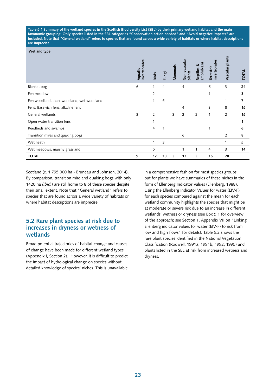**Table 5.1 Summary of the wetland species in the Scottish Biodiversity List (SBL) by their primary wetland habitat and the main taxonomic grouping. Only species listed in the SBL categories "Conservation action needed" and "Avoid negative impacts" are included. Note that "General wetland" refers to species that are found across a wide variety of habitats or where habitat descriptions are imprecise.** 

#### **Wetland type**

|                                            | invertebrates<br>Aquatic | <b>Birds</b>   | Fungi | Mammals | Non-vascular<br>plants | amphibians<br>త<br>Reptiles | invertebrate<br>Terrestrial | Vascular plants | <b>TOTAL</b> |
|--------------------------------------------|--------------------------|----------------|-------|---------|------------------------|-----------------------------|-----------------------------|-----------------|--------------|
| Blanket bog                                | 6                        | 1              | 4     |         | 4                      |                             | 6                           | 3               | 24           |
| Fen meadow                                 |                          | $\overline{2}$ |       |         |                        |                             | 1                           |                 | 3            |
| Fen woodland, alder woodland, wet woodland |                          | 1              | 5     |         |                        |                             |                             | 1               | 7            |
| Fens: Base-rich fens, alkaline fens        |                          |                |       |         | $\overline{4}$         |                             | 3                           | 8               | 15           |
| General wetlands                           | 3                        | $\overline{2}$ |       | 3       | $\overline{2}$         | 2                           | 1                           | 2               | 15           |
| Open water transition fens                 |                          | 1              |       |         |                        |                             |                             |                 |              |
| Reedbeds and swamps                        |                          | 4              | 1     |         |                        |                             | 1                           |                 | 6            |
| Transition mires and quaking bogs          |                          |                |       |         | 6                      |                             |                             | 2               | 8            |
| Wet heath                                  |                          | 1              | 3     |         |                        |                             |                             | 1               | 5            |
| Wet meadows, marshy grassland              |                          | 5              |       |         | 1                      |                             | 4                           | 3               | 14           |
| <b>TOTAL</b>                               | 9                        | 17             | 13    | 3       | 17                     | 3                           | 16                          | 20              |              |

Scotland (c. 1,795,000 ha - Bruneau and Johnson, 2014). By comparison, transition mire and quaking bogs with only 1420 ha *(ibid.*) are still home to 8 of these species despite their small extent. Note that "General wetland" refers to species that are found across a wide variety of habitats or where habitat descriptions are imprecise.

## **5.2 Rare plant species at risk due to increases in dryness or wetness of wetlands**

Broad potential trajectories of habitat change and causes of change have been made for different wetland types (Appendix I, Section 2). However, it is difficult to predict the impact of hydrological change on species without detailed knowledge of species' niches. This is unavailable

in a comprehensive fashion for most species groups, but for plants we have summaries of these niches in the form of Ellenberg Indicator Values (Ellenberg, 1988). Using the Ellenberg Indicator Values for water (EIV-F) for each species compared against the mean for each wetland community highlights the species that might be at moderate or severe risk due to an increase in different wetlands' wetness or dryness (see Box 5.1 for overview of the approach; see Section 1, Appendix VII on "Linking Ellenberg indicator values for water (EIV-F) to risk from low and high flows" for details). Table 5.2 shows the rare plant species identified in the National Vegetation Classification (Rodwell, 1991a; 1991b; 1992; 1995) and plants listed in the SBL at risk from increased wetness and dryness.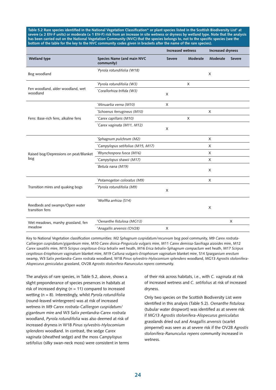Table 5.2 Rare species identified in the National Vegetation Classification\* or plant species listed in the Scottish Biodiversity List† at **severe (± 2 EIV-F units) or moderate (± 1 EIV-F) risk from an increase in site wetness or dryness by wetland type. Note that the analysis has been carried out on the National Vegetation Community (NVC) that the species belongs to, not to the specific species (see the bottom of the table for the key to the NVC community codes given in brackets after the name of the rare species).** 

|                                                   |                                          |               | <b>Increased wetness</b> |              | <b>Increased dryness</b> |
|---------------------------------------------------|------------------------------------------|---------------|--------------------------|--------------|--------------------------|
| Wetland type                                      | Species Name (and main NVC<br>community) | <b>Severe</b> | Moderate                 | Moderate     | <b>Severe</b>            |
| Bog woodland                                      | *Pyrola rotundifolia (W18)               |               |                          | $\times$     |                          |
|                                                   | *Pyrola rotundifolia (W3)                |               | X                        |              |                          |
| Fen woodland, alder woodland, wet<br>woodland     | Corallorhiza trifida (W3)                | X             |                          |              |                          |
|                                                   | *Minuartia verna (M10)                   | X             |                          |              |                          |
|                                                   | *Schoenus ferrugineus (M10)              |               |                          | X            |                          |
| Fens: Base-rich fens, alkaline fens               | *Carex capillaris (M10)                  |               | X                        |              |                          |
|                                                   | Carex vaginata (M11, M12)                | X             |                          |              |                          |
|                                                   | *Sphagnum pulchrum (M2)                  |               |                          | $\mathsf{x}$ |                          |
|                                                   | *Campylopus setifolius (M15, M17)        |               |                          | $\times$     |                          |
| Raised bog/Depressions on peat/Blanket            | *Rhynchospora fusca (M16)                |               |                          | $\times$     |                          |
| bog                                               | *Campylopus shawii (M17)                 |               |                          | $\times$     |                          |
|                                                   | *Betula nana (M19)                       |               |                          | $\times$     |                          |
|                                                   | *Potamogeton coloratus (M9)              |               |                          | $\times$     |                          |
| Transition mires and quaking bogs                 | *Pyrola rotundifolia (M9)                | X             |                          |              |                          |
|                                                   | *Wolffia arrhiza (S14)                   |               |                          |              |                          |
| Reedbeds and swamps/Open water<br>transition fens |                                          |               |                          | X            |                          |
| Wet meadows, marshy grassland, fen                | <sup>+</sup> Oenanthe fistulosa (MG13)   |               |                          |              | X                        |
| meadow                                            | *Anagallis arvensis (OV28)               | X             |                          |              |                          |

Key to National Vegetation classification communities: M2 *Sphagnum cuspidatum/recurvum* bog pool community, M9 *Carex rostrata-Calliergon cuspidatum/giganteum* mire, M10 *Carex dioica-Pinguicula vulgaris* mire, M11 *Carex demissa-Saxifraga aizoides* mire, M12 *Carex saxatilis* mire, M15 *Scirpus cespitosus-Erica tetralix* wet heath, M16 *Erica tetralix-Sphagnum compactum* wet heath, M17 *Scirpus cespitosus-Eriophorum vaginatum* blanket mire, M19 *Calluna vulgaris-Eriophorum vaginatum* blanket mire, S14 *Sparganium erectum* swamp, W3 *Salix pentandra-Carex rostrata* woodland, W18 *Pinus sylvestris-Hylocomium splendens* woodland, MG13 *Agrostis stolonifera*-*Alopecurus geniculatus* grassland, OV28 *Agrostis stolonifera-Ranunculus repens* community.

The analysis of rare species, in Table 5.2, above, shows a slight preponderance of species presences in habitats at risk of increased drying ( $n = 11$ ) compared to increased wetting (n = 8). Interestingly, whilst *Pyrola rotundifolia* (round-leaved wintergreen) was at risk of increased wetness in M9 *Carex rostrata-Calliergon cuspidatum/ giganteum* mire and W3 *Salix pentandra-Carex rostrata*  woodland, *Pyrola rotundifolia* was also deemed at risk of increased dryness in W18 *Pinus sylvestris-Hylocomium splendens* woodland. In contrast, the sedge *Carex vaginata* (sheathed sedge) and the moss *Campylopus setifolius* (silky swan-neck moss) were consistent in terms of their risk across habitats, i.e., with *C. vaginata* at risk of increased wetness and *C. setifolius* at risk of increased dryness.

Only two species on the Scottish Biodiversity List were identified in this analysis (Table 5.2). *Oenanthe fistulosa* (tubular water dropwort) was identified as at severe risk if MG13 *Agrostis stolonifera-Alopecurus geniculatus* grasslands dried out and *Anagallis arvensis* (scarlet pimpernel) was seen as at severe risk if the OV28 *Agrostis stolonifera-Ranunculus repens* community increased in wetness.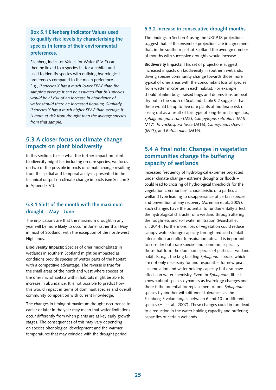**Box 5.1 Ellenberg Indicator Values used to qualify risk levels by characterising the species in terms of their environmental preferences.**

Ellenberg Indicator Values for Water (EIV-F) can then be linked to a species list for a habitat and used to identify species with outlying hydrological preferences compared to the mean preference. E.g., *if species X has a much lower EIV-F than the sample's average it can be assumed that this species would be at risk of an increase in abundance of water should there be increased flooding. Similarly, if species Y has a much higher EIV-F than average it is more at risk from drought than the average species from that sample.* 

## **5.3 A closer focus on climate change impacts on plant biodiversity**

In this section, to see what the further impact on plant biodiversity might be, including on rare species, we focus on two of the possible impacts of climate change resulting from the spatial and temporal analyses presented in the technical output on climate change impacts (see Section 3 in Appendix VI).

## **5.3.1 Shift of the month with the maximum drought – May - June**

The implications are that the maximum drought in any year will be more likely to occur in June, rather than May in most of Scotland, with the exception of the north-west Highlands.

**Biodiversity Impacts:** Species of drier microhabitats in wetlands in southern Scotland might be impacted as conditions provide species of wetter parts of the habitat with a competitive advantage. The reverse is true for the small areas of the north and west where species of the drier microhabitats within habitats might be able to increase in abundance. It is not possible to predict how this would impact in terms of dominant species and overall community composition with current knowledge.

The changes in timing of maximum drought occurrence to earlier or later in the year may mean that water limitations occur differently from when plants are at key early growth stages. The consequences of this may vary depending on species phenological development and the warmer temperatures that may coincide with the drought period.

#### **5.3.2 Increase in consecutive drought months**

The findings in Section 4 using the UKCP18 projections suggest that all the ensemble projections are in agreement that, in the southern part of Scotland the average number of months with successive droughts would increase.

**Biodiversity Impacts:** This set of projections suggest increased impacts on biodiversity in southern wetlands, driving species community change towards those more typical of drier areas with the concomitant loss of species from wetter microsites in each habitat. For example, should blanket bogs, raised bogs and depressions on peat dry out in the south of Scotland, Table 5.2 suggests that there would be up to five rare plants at moderate risk of losing out as a result of this type of long-term change, i.e., *Sphagnum pulchrum* (M2), *Campylopus setifolius* (M15, M17), *Rhynchospora fusca* (M16), *Campylopus shawii* (M17), and *Betula nana* (M19).

## **5.4 A final note: Changes in vegetation communities change the buffering capacity of wetlands**

Increased frequency of hydrological extremes projected under climate change - extreme droughts or floods – could lead to crossing of hydrological thresholds for the vegetation communities' characteristic of a particular wetland type leading to disappearance of certain species and prevention of any recovery (Acreman et al., 2009). Such changes have the potential to fundamentally affect the hydrological character of a wetland through altering the roughness and soil water infiltration (Marshall et al., 2014). Furthermore, loss of vegetation could reduce canopy water storage capacity through reduced rainfall interception and alter transpiration rates. It is important to consider both rare species and common, especially those that form the dominant species of particular wetland habitats, e.g., the bog building *Sphagnum* species which are not only necessary for and responsible for new peat accumulation and water holding capacity but also have effects on water chemistry. Even for *Sphagnum*, little is known about species dynamics as hydrology changes and there is the potential for replacement of one S*phagnum* species by another with different tolerances as the Ellenberg-F value ranges between 6 and 10 for different species (Hill et al., 2007). These changes could in turn lead to a reduction in the water holding capacity and buffering capacities of certain wetlands.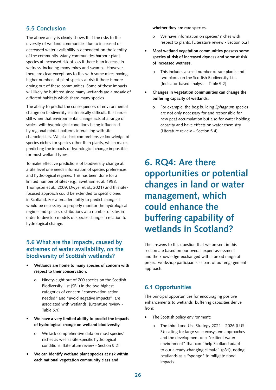# **5.5 Conclusion**

The above analysis clearly shows that the risks to the diversity of wetland communities due to increased or decreased water availability is dependent on the identity of the community. Many communities harbour plant species at increased risk of loss if there is an increase in wetness, including many mires and swamps. However, there are clear exceptions to this with some mires having higher numbers of plant species at risk if there is more drying out of these communities. Some of these impacts will likely be buffered since many wetlands are a mosaic of different habitats which share many species.

The ability to predict the consequences of environmental change on biodiversity is intrinsically difficult. It is harder still when that environmental change acts at a range of scales, with hydrological conditions being influenced by regional rainfall patterns interacting with site characteristics. We also lack comprehensive knowledge of species niches for species other than plants, which makes predicting the impacts of hydrological change impossible for most wetland types.

To make effective predictions of biodiversity change at a site level one needs information of species preferences and hydrological regimes. This has been done for a limited number of sites (e.g., Swetnam et al. 1998; Thompson et al., 2009; Dwyer et al., 2021) and this sitefocused approach could be extended to specific ones in Scotland. For a broader ability to predict change it would be necessary to properly monitor the hydrological regime and species distributions at a number of sites in order to develop models of species change in relation to hydrological change.

## **5.6 What are the impacts, caused by extremes of water availability, on the biodiversity of Scottish wetlands?**

- **• Wetlands are home to many species of concern with respect to their conservation.** 
	- o Ninety-eight out of 700 species on the Scottish Biodiversity List (SBL) in the two highest categories of concern "conservation action needed" and "avoid negative impacts", are associated with wetlands. [Literature review - Table 5.1]
- **• We have a very limited ability to predict the impacts of hydrological change on wetland biodiversity.**
	- o We lack comprehensive data on most species' niches as well as site-specific hydrological conditions. [Literature review - Section 5.2]
- **• We can identify wetland plant species at risk within each national vegetation community class and**

#### **whether they are rare species.**

- o We have information on species' niches with respect to plants. [Literature review - Section 5.2]
- **• Most wetland vegetation communities possess some species at risk of increased dryness and some at risk of increased wetness.** 
	- o This includes a small number of rare plants and two plants on the Scottish Biodiversity List. [Indicator-based analysis – Table 5.2]
- **• Changes in vegetation communities can change the buffering capacity of wetlands.**
	- o For example, the bog building *Sphagnum* species are not only necessary for and responsible for new peat accumulation but also for water holding capacity and have effects on water chemistry. [Literature review – Section 5.4]

# **6. RQ4: Are there opportunities or potential changes in land or water management, which could enhance the buffering capability of wetlands in Scotland?**

The answers to this question that we present in this section are based on our overall expert assessment and the knowledge-exchanged with a broad range of project workshop participants as part of our engagement approach.

# **6.1 Opportunities**

The principal opportunities for encouraging positive enhancements to wetlands' buffering capacities derive from:

- The Scottish policy environment:
	- o The third Land Use Strategy 2021 2026 (LUS-3): calling for large scale ecosystem approaches and the development of a "resilient water environment" that can "help Scotland adapt to our already-changing climate" (p31), noting peatlands as a "sponge" to mitigate flood impacts.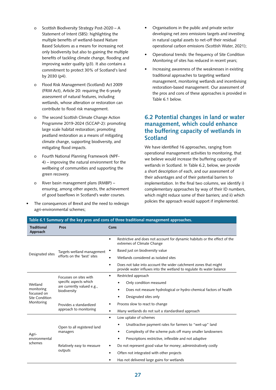- o Scottish Biodiversity Strategy Post-2020 A Statement of Intent (SBS): highlighting the multiple benefits of wetland-based Nature Based Solutions as a means for increasing not only biodiversity but also to gaining the multiple benefits of tackling climate change, flooding and improving water quality (p3). It also contains a commitment to protect 30% of Scotland's land by 2030 (p4).
- o Flood Risk Management (Scotland) Act 2009 (FRM Act), Article 20: requiring the 6-yearly assessment of natural features, including wetlands, whose alteration or restoration can contribute to flood risk management.
- o The second Scottish Climate Change Action Programme 2019-2024 (SCCAP-2): promoting large scale habitat restoration; promoting peatland restoration as a means of mitigating climate change, supporting biodiversity, and mitigating flood impacts.
- o Fourth National Planning Framework (NPF-4) – improving the natural environment for the wellbeing of communities and supporting the green recovery.
- o River basin management plans (RMBP) ensuring, among other aspects, the achievement of good baseflows in Scotland's water courses.
- The consequences of Brexit and the need to redesign agri-environmental schemes;
- Organisations in the public and private sector developing net zero emissions targets and investing in natural capital assets to net-off their residual operational carbon emissions [\(Scottish Water,](https://scottishwaternetzero.co.uk/) 2021);
- Operational trends: the frequency of Site Condition Monitoring of sites has reduced in recent years;
- Increasing awareness of the weaknesses in existing traditional approaches to targeting wetland management, monitoring wetlands and incentivising restoration-based management. Our assessment of the pros and cons of these approaches is provided in Table 6.1 below.

# **6.2 Potential changes in land or water management, which could enhance the buffering capacity of wetlands in Scotland**

We have identified 16 approaches, ranging from operational management activities to monitoring, that we believe would increase the buffering capacity of wetlands in Scotland. In Table 6.2, below, we provide a short description of each, and our assessment of their advantages and of their potential barriers to implementation. In the final two columns, we identify i) complementary approaches by way of their ID numbers, which might reduce some of their barriers*;* and ii) which policies the approach would support if implemented.

| Table 6.1 Summary of the key pros and cons of three traditional management approaches. |                                                                      |                                                                                                                                               |  |  |  |  |
|----------------------------------------------------------------------------------------|----------------------------------------------------------------------|-----------------------------------------------------------------------------------------------------------------------------------------------|--|--|--|--|
| <b>Traditional</b><br>Approach                                                         | Pros                                                                 | Cons                                                                                                                                          |  |  |  |  |
|                                                                                        |                                                                      | Restrictive and does not account for dynamic habitats or the effect of the<br>$\bullet$<br>extremes of Climate Change                         |  |  |  |  |
| Designated sites                                                                       | Targets wetland management                                           | Based just on biodiversity value                                                                                                              |  |  |  |  |
|                                                                                        | efforts on the 'best' sites                                          | Wetlands considered as isolated sites<br>$\bullet$                                                                                            |  |  |  |  |
|                                                                                        |                                                                      | Does not take into account the wider catchment zones that might<br>٠<br>provide water influxes into the wetland to regulate its water balance |  |  |  |  |
| Wetland<br>monitoring                                                                  | Focusses on sites with                                               | Restricted approach<br>٠                                                                                                                      |  |  |  |  |
|                                                                                        | specific aspects which<br>are currently valued e.g.,<br>biodiversity | Only condition measured                                                                                                                       |  |  |  |  |
|                                                                                        |                                                                      | Does not measure hydrological or hydro-chemical factors of health<br>$\bullet$                                                                |  |  |  |  |
| focussed on<br>Site Condition                                                          |                                                                      | Designated sites only<br>$\bullet$                                                                                                            |  |  |  |  |
| Monitoring                                                                             | Provides a standardized<br>approach to monitoring                    | Process slow to react to change<br>٠                                                                                                          |  |  |  |  |
|                                                                                        |                                                                      | Many wetlands do not suit a standardised approach<br>$\bullet$                                                                                |  |  |  |  |
|                                                                                        |                                                                      | Low uptake of schemes<br>$\bullet$                                                                                                            |  |  |  |  |
|                                                                                        | Open to all registered land                                          | Unattractive payment rates for farmers to "wet-up" land<br>$\bullet$                                                                          |  |  |  |  |
| Agri-                                                                                  | managers                                                             | Complexity of the scheme puts off many smaller landowners<br>$\bullet$                                                                        |  |  |  |  |
| environmental                                                                          |                                                                      | Prescriptions restrictive, inflexible and not adaptive<br>$\bullet$                                                                           |  |  |  |  |
| schemes                                                                                | Relatively easy to measure                                           | Do not represent good value for money; administratively costly<br>٠                                                                           |  |  |  |  |
|                                                                                        | outputs                                                              | Often not integrated with other projects<br>٠                                                                                                 |  |  |  |  |
|                                                                                        |                                                                      | Has not delivered large gains for wetlands<br>٠                                                                                               |  |  |  |  |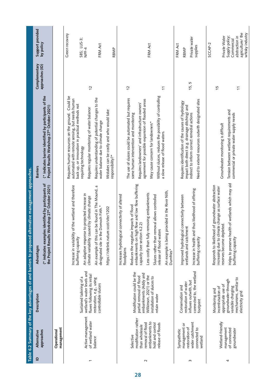|                |                                                                                                                                   |                                                                                                                                                         | Table 6.2 Summary of the key advantages of and barriers to proposed alternative management approaches.                                                                                                                                                                                                                                                                                  |                                                                                                                                                                                                                                                                                                                                                                                             |                                  |                                                                                                                  |
|----------------|-----------------------------------------------------------------------------------------------------------------------------------|---------------------------------------------------------------------------------------------------------------------------------------------------------|-----------------------------------------------------------------------------------------------------------------------------------------------------------------------------------------------------------------------------------------------------------------------------------------------------------------------------------------------------------------------------------------|---------------------------------------------------------------------------------------------------------------------------------------------------------------------------------------------------------------------------------------------------------------------------------------------------------------------------------------------------------------------------------------------|----------------------------------|------------------------------------------------------------------------------------------------------------------|
| $\mathbf{r}$   | approaches<br>Alternative                                                                                                         | Description                                                                                                                                             | es identified by participants of<br>Workshop 27 <sup>th</sup> October 2021)<br>(* indicates exampl<br>the Project Results<br>Advantages                                                                                                                                                                                                                                                 | (* indicates barrier identified by participants of the<br>Project Results Workshop 27" October 2021)<br><b>Barriers</b>                                                                                                                                                                                                                                                                     | approaches (ID)<br>Complementary | Support provided<br>by policy                                                                                    |
|                | management<br>Operational                                                                                                         |                                                                                                                                                         |                                                                                                                                                                                                                                                                                                                                                                                         |                                                                                                                                                                                                                                                                                                                                                                                             |                                  |                                                                                                                  |
| $\overline{ }$ | Active management<br>of wetland water<br>balance                                                                                  | wetland's water levels and<br>fluxes following its initial<br>Sustained tailoring of a<br>restoration, e.g., using<br>controllable sluices              | Increase in variability of the wetland and therefore<br>An example of this can be found in The Mound, a<br>An adaptive response to projected increase in<br>climate variability caused by climate change<br>designated site in the Dornoch Firth.*<br>https://sitelink.nature.scot/site/1202<br>buffering capacity                                                                      | Requires human resources on the ground. Could be<br>Requires understanding of potential changes to the<br>automated with remote sensing, but needs human<br>back up, or innovation in practical methods not<br>Requires regular monitoring of water balance<br>Mistakes can be costly and who would take<br>water balance due to climate change<br>requiring technology<br>responsibility?* | 12                               | Green recovery<br>SBS; LUS-3;<br>FRM Act<br>NPF-4<br>RBMP                                                        |
| $\sim$         | modification rather<br>embankments to<br>removal of flood<br>hold and control<br>release of floods<br>than wholesale<br>Selective | Modification could be the<br>embankments (Addy and<br>Wilkinson, 2021) or the<br>partial removal of flood<br>installation of sluices to<br>retain water | embankments on high flow and low flow buffering<br>provided in the River Nith,<br>Less costly than fully removing embankments<br>Increases hydrological connectivity of altered<br>Sluices rather than removal allows controlled<br>Reduces the negative impacts of flood<br>capacity (see section 4.2.2)<br>release of flood waters<br>An example is being<br>floodplains<br>Dumfries* | Without sluices, reduces the possibility of controlling<br>The use of sluices could be automated but requires<br>agreement for possible expansion of flooded areas<br>Requires landowners' and infrastructure owners'<br>some human intervention and monitoring<br>May cause concern for landowners*<br>a slow release of flood waters.                                                     | $\frac{2}{3}$<br>$\tilde{\tau}$  | FRM Act                                                                                                          |
| S              | wider catchment<br>management or<br>restoration of<br>connected to<br>Sympathetic<br>wetland                                      | connected to, the wetland<br>influxes outwith, but<br>restoration of water<br>Conservation and<br>footprint                                             | Increase in health and thus likelihood of offering<br>Improved hydrological connectivity between<br>wetlands and catchment<br>buffering capacity                                                                                                                                                                                                                                        | Need to extend resources outwith designated sites<br>Requires identification of the causes of hydrology<br>impact both direct (e.g. drainage ditching) and<br>indirect to inform correct remedial actions                                                                                                                                                                                   | 15, 5                            | Private water<br>FRM Act<br>supplies<br>RBMP                                                                     |
| 4              | Wetland-friendly<br>management<br>of connected<br>groundwater                                                                     | mechanisms, similar to<br>groundwater through<br>appropriate use of<br>incentivisation of<br>variable charging<br>Monitoring and<br>electricity grid    | Helps to preserve health of wetlands which may aid<br>Responds to likelihood of groundwater abstraction<br>increasing due to climate change as surface water<br>reserves become depleted.<br>buffering capacity                                                                                                                                                                         | Tension between wetland requirements and<br>commercial or private water supply needs<br>Groundwater monitoring is difficult                                                                                                                                                                                                                                                                 | 15<br>$\tilde{t}$                | agriculture/the<br>whisky industry<br>Supply policy;<br>Private Water<br>abstraction in<br>Commercial<br>SCCAP-2 |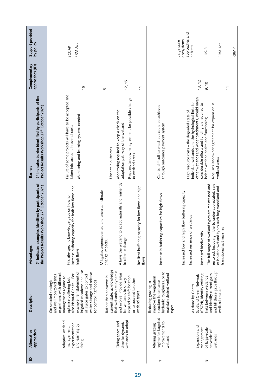| $\mathbf{r}$ | Alternative                                                                    |                                                                                                                                                                                                                                                                                                              |                                                                                                                                                                                                                                                                                                                    | <b>Barriers</b>                                                                                                                                                                                                                                                                                                     |                                  |                                                                                      |
|--------------|--------------------------------------------------------------------------------|--------------------------------------------------------------------------------------------------------------------------------------------------------------------------------------------------------------------------------------------------------------------------------------------------------------|--------------------------------------------------------------------------------------------------------------------------------------------------------------------------------------------------------------------------------------------------------------------------------------------------------------------|---------------------------------------------------------------------------------------------------------------------------------------------------------------------------------------------------------------------------------------------------------------------------------------------------------------------|----------------------------------|--------------------------------------------------------------------------------------|
|              | approaches                                                                     | Description                                                                                                                                                                                                                                                                                                  | (* indicates examples identified by participants of<br>the Project Results Workshop 27 <sup>th</sup> October 2021)<br>Advantages                                                                                                                                                                                   | (* indicates barrier identified by participants of the<br>Project Results Workshop 27 <sup>th</sup> October 2021)                                                                                                                                                                                                   | approaches (ID)<br>Complementary | Support provided<br>by policy                                                        |
| 5            | Adaptive wetland<br>experimentation<br>and learning by<br>management,<br>doing | irrigated meadows and use<br>example, reinstatement of<br>water storage and release<br>experiment with different<br>also Natural Capital. For<br>and well monitored sites<br>of sluice gates to control<br>management regime to<br>optimise buffering but<br>On selected strategic<br>for controlling floods | increase buffering capacity for both low flows and<br>Fills site-specific knowledge gaps on how to<br>high flows                                                                                                                                                                                                   | Failure of some projects will have to be accepted and<br>Monitoring and learning systems needed<br>taken into account in overall costs                                                                                                                                                                              | 15                               | FRM Act<br>SCCAP                                                                     |
| ৩            | wetlands to adapt<br>Giving space and<br>time for dynamic                      | current state, acknowledge<br>that wetlands are dynamic<br>and evolve. Provide areas<br>expand or shift location,<br>Rather than conserve in<br>or to succeed to other<br>for wetlands to slowly<br>wetland types                                                                                            | to adapt naturally and resiliently<br>Resilient buffering capacity for low flows and high<br>Mitigates unprecedented and uncertain climate<br>Allows the wetland<br>to climate change<br>change impacts.<br>flows                                                                                                  | Requires landowner agreement for possible change<br>Monitoring required to keep a check on the<br>adaptation pathway of the wetland<br>Uncertain outcomes<br>in wetland areas                                                                                                                                       | 12, 15<br>$\tilde{U}$<br>5       |                                                                                      |
| N            | regime for targeted<br>improvements to<br>Altering grazing<br>wetland          | hydraulic roughness, or to<br>maintain desired wetland<br>improve the vegetation<br>structure to enhance<br>Reducing grazing to<br>types                                                                                                                                                                     | Increase in buffering capacities for high flows                                                                                                                                                                                                                                                                    | Can be difficult to enact but could be achieved<br>through outcomes payment system                                                                                                                                                                                                                                  |                                  |                                                                                      |
| $\infty$     | Expansion and<br>of large-scale<br>management<br>networks of<br>wetlands       | and fill those gaps through<br>and identify current gaps<br>(CSGN), identify existing<br>Scotland Green Network<br>links between wetlands<br>As done by Central<br>wetland creation                                                                                                                          | restored. Including hitherto under-appreciated, rare<br>The full range of wetland types are maintained and<br>or isolated wetland types such bog woodland and<br>high flow buffering capacity<br>of wetlands<br>transitional salt marshes<br>Increased biodiversity<br>Increased resilience<br>Increased low and I | other wetlands and wider catchments, would mean<br>individual wetlands and the hydrological links to<br>Requires landowner agreement for expansion in<br>considerable efforts and funding are required to<br>High resource costs - the degraded state of<br>bolster wetland health and functioning<br>wetland areas | 13, 12<br>9, 10<br>$\tilde{c}$   | approaches and<br>ecosystems<br>Large scale<br>FRM Act<br>habitats<br>LUS-3;<br>RBMP |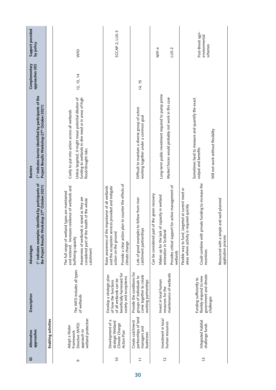| $\mathbf{r}$   | approaches<br>Alternative                                                          | Description                                                                                                                        | (* indicates examples identified by participants of<br>Workshop 27 <sup>th</sup> October 2021)<br>the Project Results<br>Advantages                                                                                                                 | (* indicates barrier identified by participants of the<br>Project Results Workshop 27 <sup>th</sup> October 2021)<br><b>Barriers</b>                                                 | approaches (ID)<br>Complementary | Support provided<br>by policy                 |
|----------------|------------------------------------------------------------------------------------|------------------------------------------------------------------------------------------------------------------------------------|-----------------------------------------------------------------------------------------------------------------------------------------------------------------------------------------------------------------------------------------------------|--------------------------------------------------------------------------------------------------------------------------------------------------------------------------------------|----------------------------------|-----------------------------------------------|
|                | Enabling activities                                                                |                                                                                                                                    |                                                                                                                                                                                                                                                     |                                                                                                                                                                                      |                                  |                                               |
| G              | wetland protection<br>Directive (WFD)<br>Adopt a Water<br>approach to<br>Framework | The WFD includes all types<br>of wetlands                                                                                          | and restored. Increases resilience of wetlands and<br>The full range of wetland types are maintained<br>Awareness of wetlands is raised as they are<br>considered part of the health of the whole<br>buffering capacity<br>catchment                | funding to wetlands in dire need or in areas of high<br>Unless targeted, it might mean potential dilution of<br>Costly to put into action across all wetlands<br>flood/drought risks | 12, 13, 14                       | WFD                                           |
| $\overline{0}$ | Development of a<br>strategic Wetland<br>Climate Change<br>Action Plan             | beneficially harnessed for<br>Develop a strategic plan<br>society and ecosystems<br>of all wetlands can be<br>of how the functions | Provide a clear action plan to counter the effects of<br>Raise awareness of the importance of all wetlands<br>and the ecosystem services provided and instigate<br>action on the ground<br>dimate change                                            |                                                                                                                                                                                      |                                  | SCCAP-2, LUS-3                                |
| $\tilde{t}$    | partnerships of land<br>Create catchment<br>managers and<br>businesses             | Provide the conditions for<br>come together to create<br>groups of individuals to<br>working partnerships                          | Lots of good examples to follow from river<br>iips<br>catchment partnersh                                                                                                                                                                           | Difficult to maintain a diverse group of actors<br>working together under a common goal                                                                                              | 14, 15                           |                                               |
| 12             | Investment in local<br>human resources                                             | maintenance of wetlands<br>Invest in local human<br>resources for the                                                              | Provides critical support for active management of<br>Can be considered part of the green recovery<br>Makes up for the lack of capacity in wetland<br>restoration in Scotland<br>wetlands                                                           | Long-term public investment required to pump prime<br>Market forces would probably not work in this case                                                                             |                                  | NPF-4<br>LUS-2                                |
| $\frac{1}{3}$  | Integrated habitat<br>challenge funds                                              | government and climate<br>flexibly respond to new<br>Funding sufficiently to<br>challenges                                         | private funding to increase the<br>, targeted at current need or<br>nple and well-planned<br>is required quickly<br>Flexible way to fund<br>Could combine with<br>Resourced with a sir<br>areas where activity<br>application process<br>incentives | Sometimes hard to measure and quantify the exact<br>Will not work without flexibility<br>output and benefits                                                                         |                                  | Post-Brexit agri-<br>environmental<br>schemes |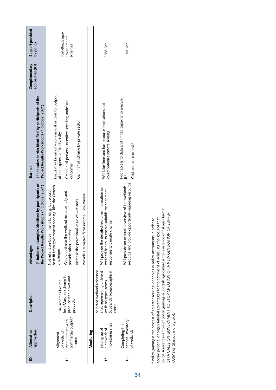|                | Alternative                                         | Description                                                                                                               | Advantages                                                                                                                                 | <b>Barriers</b>                                                                                                   | Complementary   | Support provided                              |
|----------------|-----------------------------------------------------|---------------------------------------------------------------------------------------------------------------------------|--------------------------------------------------------------------------------------------------------------------------------------------|-------------------------------------------------------------------------------------------------------------------|-----------------|-----------------------------------------------|
|                | approaches                                          |                                                                                                                           | $(*$ indicates examples identified by participants of<br>Norkshop 27th October 2021)<br>the Project Results                                | (* indicates barrier identified by participants of the<br>Project Results Workshop 27 <sup>th</sup> October 2021) | approaches (ID) | by policy                                     |
|                | Alignment                                           | Trial schemes like the                                                                                                    | benefit from government seeding, like the Civtech<br>Not reliant on Government funding, but would<br>challenges                            | Focus may be on only commercial or paid for output<br>at the expense of biodiversity                              |                 |                                               |
| $\overline{4}$ | commercial output/<br>management with<br>of wetland | Insh Marshes scheme to<br>produce viable wetland<br>products                                                              | Would optimise the wetland resource fully and<br>provide other benefits                                                                    | Creation of perverse incentives creating undesired<br>outcomes                                                    |                 | Post-Brexit agri-<br>environmental<br>schemes |
|                | income                                              |                                                                                                                           | Increase the perceptual value of wetlands                                                                                                  | Gaming <sup>4</sup> of scheme by private sector                                                                   |                 |                                               |
|                |                                                     |                                                                                                                           | Provide alternative farm income, Gov/Private                                                                                               |                                                                                                                   |                 |                                               |
|                | Monitoring                                          |                                                                                                                           |                                                                                                                                            |                                                                                                                   |                 |                                               |
| 15             | monitoring sites<br>Setting up of<br>a network of   | Selected wetland reference<br>sites representing different<br>Scotland's biogeographical<br>wetland types across<br>zones | Will provide the detailed real time information on<br>nable suitable management<br>change<br>wetland health, to er<br>responses to climate | Will take time and has resource implications but<br>could optimise remote sensing                                 |                 | FRM Act                                       |
| $\frac{9}{5}$  | national inventory<br>Completing the<br>of wetlands |                                                                                                                           | resource and provide opportunity mapping resource<br>Will provide an accurate overview of the wetlands                                     | Poor access to data and limited capacity to analyse<br>Cost and scale of task*                                    |                 | FRM Act                                       |
|                |                                                     |                                                                                                                           |                                                                                                                                            |                                                                                                                   |                 |                                               |

policy. A recent example of policy gaming in Scottish agriculture is the existence of "slipper farms"<br>(STFA CALLS ON GOVERNMENT TO STOP CREATION OF A NEW GENERATION OF SLIPPER policy. A recent example of policy gaming in Scottish agriculture is the existence of "slipper farms" ([STFA CALLS ON GOVERNMENT TO STOP CREATION OF A NEW GENERATION OF SLIPPER](http://www.tfascotland.org.uk/stfa-calls-on-government-to-stop-creation-of-a-new-generation-of-slipper-farmers/)  accrue personal or organisational advantages to the detriment of achieving the goals of that 4 Policy gaming is the process of an actor seeking loopholes in policy instruments in order to 4 Policy gaming is the process of an actor seeking loopholes in policy instruments in order to accrue personal or organisational advantages to the detriment of achieving the goals of that FARMERS (tfascotland.org.uk)). [FARMERS \(tfascotland.org.uk\)](http://www.tfascotland.org.uk/stfa-calls-on-government-to-stop-creation-of-a-new-generation-of-slipper-farmers/)).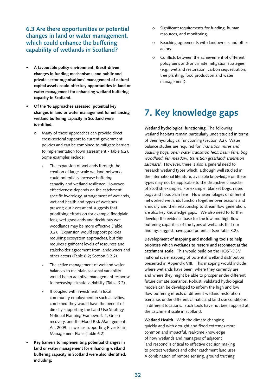## **6.3 Are there opportunities or potential changes in land or water management, which could enhance the buffering capability of wetlands in Scotland?**

- **• A favourable policy environment, Brexit-driven changes in funding mechanisms, and public and private sector organisations' management of natural capital assets could offer key opportunities in land or water management for enhancing wetland buffering capacity in Scotland.**
- **• Of the 16 approaches assessed, potential key changes in land or water management for enhancing wetland buffering capacity in Scotland were identified.** 
	- o Many of these approaches can provide direct cross-sectoral support to current government policies and can be combined to mitigate barriers to implementation (own assessment - Table 6.2). Some examples include:
		- The expansion of wetlands through the creation of large-scale wetland networks could potentially increase buffering capacity and wetland resilience. However, effectiveness depends on the catchment specific hydrology, arrangement of wetlands, wetland health and types of wetlands present; our assessment suggests that prioritising efforts on for example floodplain fens, wet grasslands and deciduous wet woodlands may be more effective (Table 3.2). Expansion would support policies requiring ecosystem approaches, but this requires significant levels of resources and stakeholder agreement from landowners and other actors (Table 6.2; Section 3.2.2).
		- » The active management of wetland water balances to maintain seasonal variability would be an adaptive management response to increasing climate variability (Table 6.2).
		- » If coupled with investment in local community employment in such activities, combined they would have the benefit of directly supporting the Land Use Strategy, National Planning Framework-4, Green recovery, and the Flood Risk Management Act 2009, as well as supporting River Basin Management Plans (Table 6.2).
- **• Key barriers to implementing potential changes in land or water management for enhancing wetland buffering capacity in Scotland were also identified, including:**
- o Significant requirements for funding, human resources, and monitoring.
- o Reaching agreements with landowners and other actors.
- o Conflicts between the achievement of different policy aims and/or climate mitigation strategies (e.g., wetland restoration, carbon sequestration, tree planting, food production and water management).

# **7. Key knowledge gaps**

**Wetland hydrological functioning.** The following wetland habitats remain particularly understudied in terms of their hydrological functioning (Section 3.2). Water balance studies are required for: *Transition mires and quaking bogs; open water transition fens; basin fens; bog woodland; fen meadow; transition grassland; transition saltmarsh.* However, there is also a general need to research wetland types which, although well studied in the international literature, available knowledge on these types may not be applicable to the distinctive character of Scottish examples. For example, blanket bogs, raised bogs and floodplain fens. How assemblages of different networked wetlands function together over seasons and annually and their relationship to streamflow generation, are also key knowledge gaps. We also need to further develop the evidence base for the low and high flow buffering capacities of the types of wetlands that our findings suggest have good potential (see Table 3.2).

**Development of mapping and modelling tools to help prioritise which wetlands to restore and reconnect at the catchment scale.** This would build on the HOST-DSM national scale mapping of potential wetland distribution presented in Appendix VIII.This mapping would include where wetlands have been, where they currently are and where they might be able to prosper under different future climate scenarios. Robust, validated hydrological models can be developed to inform the high and low flow buffering effects of different wetland restoration scenarios under different climatic and land use conditions, in different locations. Such tools have not been applied at the catchment scale in Scotland.

**Wetland Health.** With the climate changing quickly and with drought and flood extremes more common and impactful, real-time knowledge of how wetlands and managers of adjacent land respond is critical to effective decision making to protect wetlands and other catchment land uses. A combination of remote sensing, ground truthing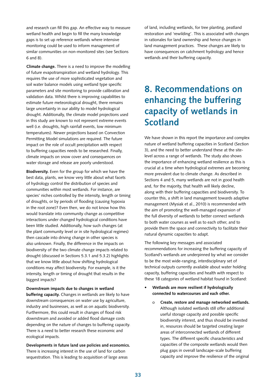and research can fill this gap. An effective way to measure wetland health and begin to fill the many knowledge gaps is to set up reference wetlands where intensive monitoring could be used to inform management of similar communities on non-monitored sites (see Sections 6 and 8).

**Climate change.** There is a need to improve the modelling of future evapotranspiration and wetland hydrology. This requires the use of more sophisticated vegetation and soil water balance models using wetland type specific parameters and site monitoring to provide calibration and validation data. Whilst there is improving capabilities to estimate future meteorological drought, there remains large uncertainty in our ability to model hydrological drought. Additionally, the climate model projections used in this study are known to not represent extreme events well (i.e. droughts, high rainfall events, low minimum temperatures). Newer projections based on Convection Permitting Model simulations are required. The future impact on the role of occult precipitation with respect to buffering capacities needs to be researched. Finally, climate impacts on snow cover and consequences on water storage and release are poorly understood.

**Biodiversity.** Even for the group for which we have the best data, plants, we know very little about what facets of hydrology control the distribution of species and communities within most wetlands. For instance, are species' niches controlled by the intensity, length or timing of droughts, or by periods of flooding (causing hypoxia in the root zone)? Even then, we do not know how this would translate into community change as competitive interactions under changed hydrological conditions have been little studied. Additionally, how such changes (at the plant community level or in site hydrological regimes) then cascade into driving change in other species is also unknown. Finally, the difference in the impacts on biodiversity of the two climate change impacts related to drought (discussed in Sections 5.3.1 and 5.3.2) highlights that we know little about how shifting hydrological conditions may affect biodiversity. For example, is it the intensity, length or timing of drought that results in the biggest impacts?

**Downstream impacts due to changes in wetland buffering capacity.** Changes in wetlands are likely to have downstream consequences on water use by agriculture, industry and businesses, as well as on aquatic biodiversity. Furthermore, this could result in changes of flood risk downstream and avoided or added flood damage costs depending on the nature of changes to buffering capacity. There is a need to better research these economic and ecological impacts.

**Developments in future land use policies and economics.** There is increasing interest in the use of land for carbon sequestration. This is leading to acquisition of large areas

of land, including wetlands, for tree planting, peatland restoration and 'rewilding'. This is associated with changes in rationales for land ownership and hence changes in land management practices. These changes are likely to have consequences on catchment hydrology and hence wetlands and their buffering capacity.

# **8. Recommendations on enhancing the buffering capacity of wetlands in Scotland**

We have shown in this report the importance and complex nature of wetland buffering capacities in Scotland (Section 3), and the need to better understand these at the sitelevel across a range of wetlands. The study also shows the importance of enhancing wetland resilience as this is crucial at a time when hydrological extremes are becoming more prevalent due to climate change. As described in Sections 4 and 5, many wetlands are not in good health and, for the majority, that health will likely decline, along with their buffering capacities and biodiversity. To counter this, a shift in land management towards adaptive management (Mysiak et al., 2010) is recommended with the aim of promoting the well-managed expansion of the full diversity of wetlands to better connect wetlands to both water courses as well as to each other, and to provide them the space and connectivity to facilitate their natural dynamic capacities to adapt.

The following key messages and associated recommendations for increasing the buffering capacity of Scotland's wetlands are underpinned by what we consider to be the most wide-ranging, interdisciplinary set of technical outputs currently available about water holding capacity, buffering capacities and health with respect to these 18 categories of wetland habitat found in Scotland:

- **• Wetlands are more resilient if hydrologically connected to watercourses and each other.**
	- o **Create, restore and manage networked wetlands.** Although isolated wetlands still offer additional useful storage capacity and possible specific biodiversity interest, and thus should be invested in, resources should be targeted creating larger areas of interconnected wetlands of different types. The different specific characteristics and capacities of the composite wetlands would then plug gaps in overall landscape-scale buffering capacity and improve the resilience of the original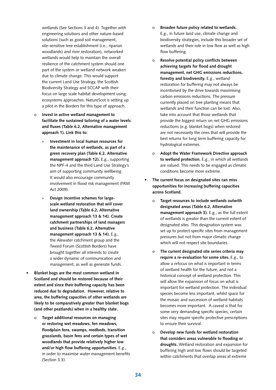wetlands (See Sections 3 and 4). Together with engineering solutions and other nature-based solutions (such as good soil management, site-sensitive tree establishment (i.e., riparian woodlands) and river restoration), networked wetlands would help to maintain the overall resilience of the catchment system should one part of the system or wetland network weaken due to climate change. This would support the current Land Use Strategy, the Scottish Biodiversity Strategy and SCCAP with their focus on large scale habitat development using ecosystems approaches. NatureScot is setting up a pilot in the Borders for this type of approach.

- o **Invest in active wetland management to facilitate the sustained tailoring of a water levels and fluxes (Table 6.2, Alternative management approach 1). Link this to:** 
	- » **Investment in local human resources for the maintenance of wetlands, as part of a green recovery plan (Table 6.2, Alternative management approach 12).** E.g., supporting the NPF-4 and the third Land Use Strategy's aim of supporting community wellbeing. It would also encourage community involvement in flood risk management (FRM Act 2009).
	- » **Design incentive schemes for largescale wetland restoration that will cover land ownership (Table 6.2, Alternative management approach 13 & 14). Create catchment partnerships of land managers and business (Table 6.2, Alternative management approach 13 & 14).** E.g., the Alewater catchment group and the Tweed Forum (Scottish Borders) have brought together all interests to create a wider dynamic of communication and management, as well as generate funds.
- **• Blanket bogs are the most common wetland in Scotland and should be restored because of their extent and since their buffering capacity has been reduced due to degradation. However, relative to area, the buffering capacities of other wetlands are likely to be comparatively greater than blanket bogs (and other peatlands) when in a healthy state.**
	- o **Target additional resources on managing or restoring wet meadows, fen meadows, floodplain fens, swamps, reedbeds, transition grasslands, basin fens and certain types of wet woodlands that provide relatively higher low and/or high flow buffering opportunities.** E.g., in order to maximise water management benefits (Section 3.3).
- o **Broaden future policy related to wetlands.**  E.g., in future land use, climate change and biodiversity strategies, include this broader set of wetlands and their role in low flow as well as high flow buffering.
- o **Resolve potential policy conflicts between achieving targets for flood and drought management, net GHG emissions reductions, forestry and biodiversity.** E.g., wetland restoration for buffering may not always be incentivised by the drive towards maximising carbon emissions reductions. The pressure currently placed on tree planting means that wetlands and their function can be lost. Also, take into account that those wetlands that provide the biggest return on net GHG emissions reductions (e.g. blanket bogs) when restored are not necessarily the ones that will provide the best returns for long term buffering capacity for hydrological extremes.
- o **Adopt the Water Framework Directive approach to wetland protection.** E.g., in which all wetlands are valued. This needs to be engaged as climatic conditions become more extreme.
- **• The current focus on designated sites can miss opportunities for increasing buffering capacities across Scotland.**
	- o **Target resources to include wetlands outwith designated areas (Table 6.2, Alternative management approach 3).** E.g., as the full extent of wetlands is greater than the current extent of designated sites. This designation system was set up to protect specific sites from management pressures but not from major climatic change which will not respect site boundaries.
	- o **The current designated site series criteria may require a re-evaluation for some sites.** E.g., to allow a refocus on what is important in terms of wetland health for the future, and not a historical concept of wetland protection. This will allow the expansion of focus on what is important for wetland protection. The individual species become less important, whilst space for the mosaic and succession of wetland habitats becomes more important. A caveat is that for some very demanding specific species, certain sites may require specific protective prescriptions to ensure their survival.
	- o **Develop new funds for wetland restoration that considers areas vulnerable to flooding or droughts.** Wetland restoration and expansion for buffering high and low flows should be targeted within catchments that overlap areas at extreme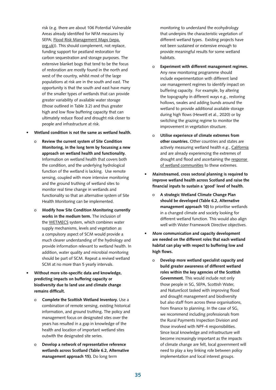risk (e.g. there are about 106 Potential Vulnerable Areas already identified for NFM measures by SEPA; [Flood Risk Management Maps \(sepa.](https://map.sepa.org.uk/floodmap/map.htm) [org.uk\)](https://map.sepa.org.uk/floodmap/map.htm)). This should complement, not replace, funding support for peatland restoration for carbon sequestration and storage purposes. The extensive blanket bogs that tend to be the focus of restoration are mostly found in the north and west of the country, whilst most of the large populations at risk are in the south and east. The opportunity is that the south and east have many of the smaller types of wetlands that can provide greater variability of available water storage (those outlined in Table 3.2) and thus greater high and low flow buffering capacity that can ultimately reduce flood and drought risk closer to people and infrastructure at risk.

#### **• Wetland condition is not the same as wetland health.**

- o **Review the current system of Site Condition Monitoring, in the long term by focussing a new approach on wetland health and functionality.**  Information on wetland health that covers both the condition, and the underlying hydrological function of the wetland is lacking. Use remote sensing, coupled with more intensive monitoring and the ground truthing of wetland sites to monitor real time change in wetlands and functionality so that an alternative system of Site Health Monitoring can be implemented.
- o **Modify how Site Condition Monitoring currently works in the medium term.** The inclusion of the [WETMECS](https://www.gov.uk/government/publications/wetland-functional-mechanisms-a-synopsis-of-wetland-water-supply-mechanisms-wetmecs) system, which combines water supply mechanisms, levels and vegetation as a compulsory aspect of SCM would provide a much clearer understanding of the hydrology and provide information relevant to wetland health. In addition, water quality and microbial monitoring should be part of SCM. Repeat a revised wetland SCM at no more than 5 yearly intervals.
- **• Without more site-specific data and knowledge, predicting impacts on buffering capacity or biodiversity due to land use and climate change remains difficult.**
	- o **Complete the Scottish Wetland Inventory.** Use a combination of remote sensing, existing historical information, and ground truthing**.** The policy and management focus on designated sites over the years has resulted in a gap in knowledge of the health and location of important wetland sites outwith the designated site series.
	- o **Develop a network of representative reference wetlands across Scotland (Table 6.2, Alternative management approach 15).** Do long term

monitoring to understand the ecohydrology that underpins the characteristic vegetation of different wetland types. Existing projects have not been sustained or extensive enough to provide meaningful results for some wetland habitats.

- o **Experiment with different management regimes.**  Any new monitoring programme should include experimentation with different land use management regimes to identify impact on buffering capacity. For example, by altering the topography in different ways e.g., restoring hollows, swales and adding bunds around the wetland to provide additional available storage during high flows (Hewett et al., 2020) or by switching the grazing regime to monitor the improvement in vegetation structure.
- o **Utilise experience of climate extremes from other countries.** Other countries and states are actively measuring wetland health e.g., [California](https://www.mywaterquality.ca.gov/monitoring_council/wetland_workgroup/wramp/) and are already experiencing the extremes of drought and flood and ascertaining the response [of wetland communities](https://www.cramwetlands.org/) to these extremes.
- **• Mainstreamed, cross sectoral planning is required to improve wetland health across Scotland and raise the financial inputs to sustain a 'good' level of health.**
	- o **A strategic Wetland Climate Change Plan should be developed (Table 6.2, Alternative management approach 10)** to prioritise wetlands in a changed climate and society looking for different wetland function. This would also align well with Water Framework Directive objectives.
- **• More communication and capacity development are needed on the different roles that each wetland habitat can play with respect to buffering low and high flows.** 
	- o **Develop more wetland specialist capacity and build greater awareness of different wetland roles within the key agencies of the Scottish Government.** This would include not only those people in SG, SEPA, Scottish Water, and NatureScot tasked with improving flood and drought management and biodiversity but also staff from across these organisations, from finance to planning. In the case of SG, we recommend including professionals from the Rural Payments Inspection Division and those involved with NPF-4 responsibilities. Since local knowledge and infrastructure will become increasingly important as the impacts of climate change are felt, local government will need to play a key linking role between policy implementation and local interest groups.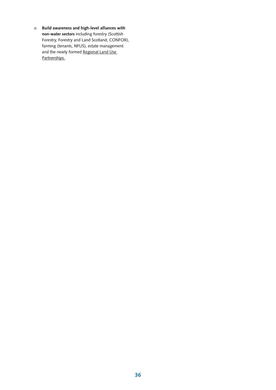o **Build awareness and high-level alliances with non-water sectors** including forestry (Scottish Forestry, Forestry and Land Scotland, CONFOR), farming (tenants, NFUS), estate management and the newly formed Regional Land Use [Partnerships.](https://blogs.gov.scot/rural-environment/2021/02/05/working-together-to-maximise-the-potential-of-our-land/)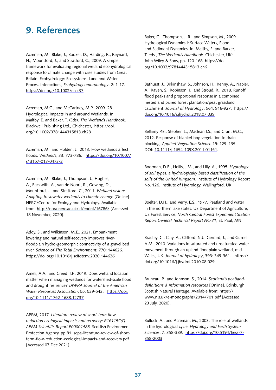# **9. References**

Acreman, M., Blake, J., Booker, D., Harding, R., Reynard, N., Mountford, J., and Stratford, C., 2009. A simple framework for evaluating regional wetland ecohydrological response to climate change with case studies from Great Britain. Ecohydrology: Ecosystems, Land and Water Process Interactions, *Ecohydrogeomorphology*, 2: 1-17. <https://doi.org/10.1002/eco.37>

Acreman, M.C., and McCartney, M.P., 2009. 28 Hydrological Impacts in and around Wetlands. In Maltby, E. and Baker, T. (Eds). *The Wetlands Handbook*. Blackwell Publishing Ltd., Chichester, [https://doi.](https://doi.org/10.1002/9781444315813.ch28) [org/10.1002/9781444315813.ch28](https://doi.org/10.1002/9781444315813.ch28)

Acreman, M., and Holden, J., 2013. How wetlands affect floods. *Wetlands*, 33: 773-786. [https://doi.org/10.1007/](https://doi.org/10.1007/s13157-013-0473-2) [s13157-013-0473-2](https://doi.org/10.1007/s13157-013-0473-2)

Acreman, M., Blake, J., Thompson, J., Hughes, A., Backwith, A., van de Noort, R., Gowing, D., Mountford, J., and Stratford, C., 2011. *Wetland vision: Adapting freshwater wetlands to climate change* [Online]. NERC/Centre for Ecology and Hydrology. Available from: <http://nora.nerc.ac.uk/id/eprint/16786/> [Accessed 18 November, 2020].

Addy, S., and Wilkinson, M.E., 2021. Embankment lowering and natural self-recovery improves riverfloodplain hydro-geomorphic connectivity of a gravel bed river. *Science of The Total Environment*, 770: 144626. <https://doi.org/10.1016/j.scitotenv.2020.144626>

Ameli, A.A., and Creed, I.F., 2019. Does wetland location matter when managing wetlands for watershed‐scale flood and drought resilience? *JAWRA Journal of the American Water Resources Association*, 55: 529-542.  [https://doi.](https://doi.org/10.1111/1752-1688.12737) [org/10.1111/1752-1688.12737](https://doi.org/10.1111/1752-1688.12737) 

APEM, 2017. *Literature review of short-term flow reduction ecological impacts and recovery: R16115QQ. APEM Scientific Report P00001488.* Scottish Environment Protection Agency. pp 81. [sepa-literature-review-of-short](https://www.sepa.org.uk/media/336665/sepa-literature-review-of-short-term-flow-reduction-ecological-impacts-and-recovery.pdf)[term-flow-reduction-ecological-impacts-and-recovery.pdf](https://www.sepa.org.uk/media/336665/sepa-literature-review-of-short-term-flow-reduction-ecological-impacts-and-recovery.pdf) [Accessed 07 Dec 2021]

Baker, C., Thompson, J. R., and Simpson, M., 2009. Hydrological Dynamics I: Surface Waters, Flood and Sediment Dynamics. In*:* Maltby, E. and Barker, T. eds., *The Wetlands Handbook.* Chichester, UK: John Wiley & Sons**,** pp**.** 120-168. [https://doi.](https://doi.org/10.1002/9781444315813.ch6) [org/10.1002/9781444315813.ch6](https://doi.org/10.1002/9781444315813.ch6) 

Bathurst, J., Birkinshaw, S., Johnson, H., Kenny, A., Napier, A., Raven, S., Robinson, J., and Stroud, R., 2018. Runoff, flood peaks and proportional response in a combined nested and paired forest plantation/peat grassland catchment. *Journal of Hydrology*, 564: 916-927.  [https://](https://doi.org/10.1016/j.jhydrol.2018.07.039) [doi.org/10.1016/j.jhydrol.2018.07.039](https://doi.org/10.1016/j.jhydrol.2018.07.039)

Bellamy P.E., Stephen L., Maclean I.S., and Grant M.C., 2012. Response of blanket bog vegetation to drainblocking. *Applied Vegetation Science* 15: 129–135. DOI: [10.1111/j.1654-109X.2011.01151](https://protect-eu.mimecast.com/s/nYkrCMjOoI5zk1ltwyk-_?domain=doi.org).

Boorman, D.B., Hollis, J.M., and Lilly, A., 1995. *Hydrology of soil types: a hydrologically based classification of the soils of the United Kingdom.* Institute of Hydrology Report No. 126. Institute of Hydrology, Wallingford, UK.

Boelter, D.H., and Verry, E.S., 1977. Peatland and water in the northern lake states. US Department of Agriculture, US Forest Service, *North Central Forest Experiment Station Report General Technical Report NC-31*, St. Paul, MN.

Bradley, C., Clay, A., Clifford, N.J., Gerrard, J., and Gurnell, A.M., 2010. Variations in saturated and unsaturated water movement through an upland floodplain wetland, mid-Wales, UK. *Journal of hydrology*, 393: 349-361.  [https://](https://doi.org/10.1016/j.jhydrol.2010.08.029) [doi.org/10.1016/j.jhydrol.2010.08.029](https://doi.org/10.1016/j.jhydrol.2010.08.029)

Bruneau, P., and Johnson, S., 2014. *Scotland's peatlanddefinitions & information resources* [Online]. Edinburgh: Scottish Natural Heritage. Available from: [https://](https://www.nls.uk/e-monographs/2014/701.pdf) [www.nls.uk/e-monographs/2014/701.pdf](https://www.nls.uk/e-monographs/2014/701.pdf) [Accessed 23 July, 2020].

Bullock, A., and Acreman, M., 2003. The role of wetlands in the hydrological cycle. *Hydrology and Earth System Sciences*. 7: 358-389. [https://doi.org/10.5194/hess-7-](https://doi.org/10.5194/hess-7-358-2003) [358-2003](https://doi.org/10.5194/hess-7-358-2003)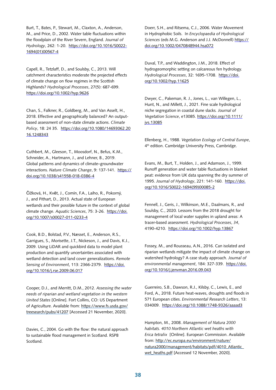Burt, T., Bates, P., Stewart, M., Claxton, A., Anderson, M., and Price, D., 2002. Water table fluctuations within the floodplain of the River Severn, England. *Journal of Hydrology*, 262: 1-20.  [https://doi.org/10.1016/S0022-](https://doi.org/10.1016/S0022-1694(01)00567-4) [1694\(01\)00567-4](https://doi.org/10.1016/S0022-1694(01)00567-4)

Capell, R., Tetzlaff, D., and Soulsby, C., 2013. Will catchment characteristics moderate the projected effects of climate change on flow regimes in the Scottish Highlands? *Hydrological Processes*, 27(5): 687-699. <https://doi.org/10.1002/hyp.9626>

Chan, S., Falkner, R., Goldberg, M., and Van Asselt, H., 2018. Effective and geographically balanced? An outputbased assessment of non-state climate actions. *Climate Policy*, 18: 24 35. [https://doi.org/10.1080/14693062.20](https://doi.org/10.1080/14693062.2016.1248343) [16.1248343](https://doi.org/10.1080/14693062.2016.1248343)

Cuthbert, M., Gleeson, T., Moosdorf, N., Befus, K.M., Schneider, A., Hartmann, J., and Lehner, B., 2019. Global patterns and dynamics of climate–groundwater interactions. *Nature Climate Change*, 9: 137-141. [https://](https://doi.org/10.1038/s41558-018-0386-4) [doi.org/10.1038/s41558-018-0386-4](https://doi.org/10.1038/s41558-018-0386-4)

Čížková, H., Květ, J., Comín, F.A., Laiho, R., Pokorný, J., and Pithart, D., 2013. Actual state of European wetlands and their possible future in the context of global climate change. *Aquatic Sciences*, 75: 3-26. [https://doi.](https://doi.org/10.1007/s00027-011-0233-4) [org/10.1007/s00027-011-0233-4](https://doi.org/10.1007/s00027-011-0233-4)

Cook, B.D., Bolstad, P.V., Næsset, E., Anderson, R.S., Garrigues, S., Morisette, J.T., Nickeson, J., and Davis, K.J., 2009. Using LiDAR and quickbird data to model plant production and quantify uncertainties associated with wetland detection and land cover generalizations. *Remote Sensing of Environment*, 113: 2366-2379. [https://doi.](https://doi.org/10.1016/j.rse.2009.06.017) [org/10.1016/j.rse.2009.06.017](https://doi.org/10.1016/j.rse.2009.06.017)

Cooper, D.J., and Merritt, D.M., 2012. *Assessing the water needs of riparian and wetland vegetation in the western United States* [Online]. Fort Collins, CO: US Department of Agriculture. Available from: [https://www.fs.usda.gov/](https://www.fs.usda.gov/treesearch/pubs/41207) [treesearch/pubs/41207](https://www.fs.usda.gov/treesearch/pubs/41207) [Accessed 21 November, 2020].

Davies, C., 2004. Go with the flow: the natural approach to sustainable flood management in Scotland. RSPB Scotland.

Doerr, S.H., and Ritsema, C.J., 2006. Water Movement in Hydrophobic Soils. In *Encyclopaedia of Hydrological Sciences* (eds M.G. Anderson and J.J. McDonnell) [https://](https://doi.org/10.1002/0470848944.hsa072) [doi.org/10.1002/0470848944.hsa072](https://doi.org/10.1002/0470848944.hsa072) 

Duval, T.P., and Waddington, J.M., 2018. Effect of hydrogeomorphic setting on calcareous fen hydrology. *Hydrological Processes*, 32: 1695-1708. [https://doi.](https://doi.org/10.1002/hyp.11625) [org/10.1002/hyp.11625](https://doi.org/10.1002/hyp.11625)

Dwyer, C., Pakeman, R. J., Jones, L., van Willegen, L., Hunt, N., and Millett, J., 2021. Fine scale hydrological niche segregation in coastal dune slacks*. Journal of Vegetation Science*, e13085. [https://doi.org/10.1111/](https://doi.org/10.1111/jvs.13085) [jvs.13085](https://doi.org/10.1111/jvs.13085)

Ellenberg, H., 1988. *Vegetation Ecology of Central Europe*, 4<sup>th</sup> edition. Cambridge University Press, Cambridge.

Evans, M., Burt, T., Holden, J., and Adamson, J., 1999. Runoff generation and water table fluctuations in blanket peat: evidence from UK data spanning the dry summer of 1995. *Journal of Hydrology*, 221: 141-160.  [https://doi.](https://doi.org/10.1016/S0022-1694(99)00085-2) [org/10.1016/S0022-1694\(99\)00085-2](https://doi.org/10.1016/S0022-1694(99)00085-2)

Fennell, J., Geris, J., Wilkinson, M.E., Daalmans, R., and Soulsby, C., 2020. Lessons from the 2018 drought for management of local water supplies in upland areas: A tracer‐based assessment. *Hydrological Processes*, *34*, 4190-4210. <https://doi.org/10.1002/hyp.13867>

Fossey, M., and Rousseau, A.N., 2016. Can isolated and riparian wetlands mitigate the impact of climate change on watershed hydrology? A case study approach. *Journal of environmental management*, 184: 327-339. [https://doi.](https://doi.org/10.1016/j.jenvman.2016.09.043) [org/10.1016/j.jenvman.2016.09.043](https://doi.org/10.1016/j.jenvman.2016.09.043) 

Guerreiro, S.B., Dawson, R.J., Kilsby, C., Lewis, E., and Ford, A., 2018. Future heat-waves, droughts and floods in 571 European cities. *Environmental Research Letters*, 13: 034009. <https://doi.org/10.1088/1748-9326/aaaad3>

Hampton, M., 2008. *Management of Natura 2000 habitats. 4010 Northern Atlantic wet heaths with Erica tetralix* [Online]. European Commission. Available from: [http://ec.europa.eu/environment/nature/](http://ec.europa.eu/environment/nature/natura2000/management/habitats/pdf/4010_Atlantic_wet_heaths.pdf) [natura2000/management/habitats/pdf/4010\\_Atlantic\\_](http://ec.europa.eu/environment/nature/natura2000/management/habitats/pdf/4010_Atlantic_wet_heaths.pdf) [wet\\_heaths.pdf](http://ec.europa.eu/environment/nature/natura2000/management/habitats/pdf/4010_Atlantic_wet_heaths.pdf) [Accessed 12 November, 2020].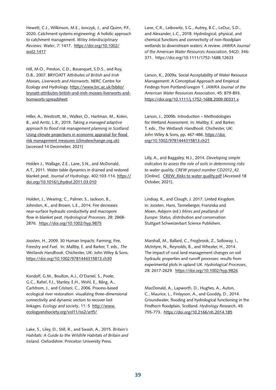Hewett, C.J., Wilkinson, M.E., Jonczyk, J., and Quinn, P.F., 2020. Catchment systems engineering: A holistic approach to catchment management. *Wiley Interdisciplinary Reviews: Water*, *7*: 1417. [https://doi.org/10.1002/](https://doi.org/10.1002/wat2.1417) [wat2.1417](https://doi.org/10.1002/wat2.1417)

Hill, M.O., Preston, C.D., Bosanquet, S.D.S., and Roy, D.B., 2007. BRYOATT *Attributes of British and Irish Mosses, Liverworts and Hornworts.* NERC Centre for Ecology and Hydrology. [https://www.brc.ac.uk/biblio/](https://www.brc.ac.uk/biblio/bryoatt-attributes-british-and-irish-mosses-liverworts-and-hornworts-spreadsheet) [bryoatt-attributes-british-and-irish-mosses-liverworts-and](https://www.brc.ac.uk/biblio/bryoatt-attributes-british-and-irish-mosses-liverworts-and-hornworts-spreadsheet)[hornworts-spreadsheet](https://www.brc.ac.uk/biblio/bryoatt-attributes-british-and-irish-mosses-liverworts-and-hornworts-spreadsheet)

Hiller, A., Westcott, M., Walker, O., Hartman, M., Kolen, B., and Arntz, L.R., 2019. *Taking a managed adaptive approach to flood risk management planning in Scotland.* [Using climate projections in economic appraisal for flood](https://www.climatexchange.org.uk/media/4014/cxc-taking-a-managed-adaptive-approach-to-flood-risk-management-planning-in-scotland.pdf)  [risk management measures \(climatexchange.org.uk\)](https://www.climatexchange.org.uk/media/4014/cxc-taking-a-managed-adaptive-approach-to-flood-risk-management-planning-in-scotland.pdf) [accessed 14 Decemeber, 2021]

Holden J., Wallage, Z.E., Lane, S.N., and McDonald, A.T., 2011. Water table dynamics in drained and restored blanket peat. *Journal of Hydrology*, 402:103-114. [https://](https://doi.org/10.1016/j.jhydrol.2011.03.010) [doi.org/10.1016/j.jhydrol.2011.03.010](https://doi.org/10.1016/j.jhydrol.2011.03.010)

Holden, J., Wearing, C., Palmer, S., Jackson, B., Johnston, K., and Brown, L.E., 2014. Fire decreases near-surface hydraulic conductivity and macropore flow in blanket peat. *Hydrological Processes*, 28: 2868- 2876. <https://doi.org/10.1002/hyp.9875>

Joosten, H., 2009. 30 Human Impacts: Farming, Fire, Forestry and Fuel. In: Maltby, E. and Barker, T. eds., *The Wetlands Handbook*. Chichester, UK: John Wiley & Sons. <https://doi.org/10.1002/9781444315813.ch30>

Kondolf, G.M., Boulton, A.J., O'Daniel, S., Poole, G.C., Rahel, F.J., Stanley, E.H., Wohl, E., Bång, A., Carlstrom, J., and Cristoni, C., 2006. Process-based ecological river restoration: visualizing three-dimensional connectivity and dynamic vectors to recover lost linkages. *Ecology and society*, 11: 5  [http://www.](http://www.ecologyandsociety.org/vol11/iss2/art5/) [ecologyandsociety.org/vol11/iss2/art5/](http://www.ecologyandsociety.org/vol11/iss2/art5/)

Lake, S., Liley, D., Still, R., and Swash, A., 2015. *Britain's Habitats: A Guide to the Wildlife Habitats of Britain and Ireland.* Oxfordshire: Princeton University Press.

Lane, C.R., Leibowitz, S.G., Autrey, B.C., LeDuc, S.D., and Alexander, L.C., 2018. Hydrological, physical, and chemical functions and connectivity of non-floodplain wetlands to downstream waters: A review. *JAWRA Journal of the American Water Resources Association*, 54(2): 346- 371. https://doi.org/10.1111/1752-1688.12633

Larson, K., 2009a. Social Acceptability of Water Resource Management: A Conceptual Approach and Empirical Findings from Portland/oregon 1. *JAWRA Journal of the American Water Resources Association*, 45: 879-893. <https://doi.org/10.1111/j.1752-1688.2009.00331.x>

Larson, J., 2009b. Introduction – Methodologies for Wetland Assessment. In*:* Maltby, E. and Barker, T. eds., *The Wetlands Handbook.* Chichester, UK: John Wiley & Sons**,** pp**.** 467-486. [https://doi.](https://doi.org/10.1002/9781444315813.ch21) [org/10.1002/9781444315813.ch21](https://doi.org/10.1002/9781444315813.ch21)

Lilly, A., and Baggaley, N.J., 2014. *Developing simple indicators to assess the role of soils in determining risks to water quality, CREW project number CD2012\_42.* [Online]. [CREW\\_Risks to water quality.pdf](https://www.crew.ac.uk/sites/www.crew.ac.uk/files/sites/default/files/publication/CREW_Risks to water quality.pdf) [Accessed 18 October, 2021].

Lindsay, R., and Clough, J. 2017. United Kingdom. in: Joosten, Hans, Tanneberger, Franziska and Moen, Asbjorn (ed.) *Mires and peatlands of Europe: Status, distribution and conservation* Stuttgart Schweizerbart Science Publishers.

Marshall, M., Ballard, C., Frogbrook, Z., Solloway, I., McIntyre, N., Reynolds, B., and Wheater, H., 2014. The impact of rural land management changes on soil hydraulic properties and runoff processes: results from experimental plots in upland UK. *Hydrological Processes*, 28: 2617-2629. <https://doi.org/10.1002/hyp.9826>

MacDonald, A., Lapworth, D., Hughes, A., Auton, C., Maurice, L., Finlayson, A., and Gooddy, D., 2014. Groundwater, flooding and hydrological functioning in the Findhorn floodplain, Scotland. *Hydrology Research*, 45: 755-773. <https://doi.org/10.2166/nh.2014.185>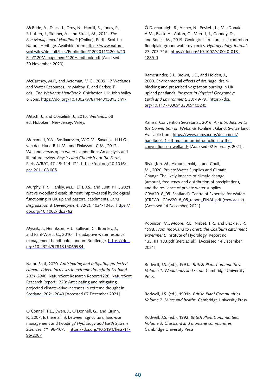McBride, A., Diack, I., Droy, N., Hamill, B., Jones, P., Schutten, J., Skinner, A., and Street, M., 2011. *The Fen Management Handbook* [Online]. Perth: Scottish Natural Heritage. Available from: [https://www.nature.](https://www.nature.scot/sites/default/files/Publication 2011 - Fen Management Handbook.pdf) [scot/sites/default/files/Publication%202011%20-%20](https://www.nature.scot/sites/default/files/Publication 2011 - Fen Management Handbook.pdf) [Fen%20Management%20Handbook.pdf](https://www.nature.scot/sites/default/files/Publication 2011 - Fen Management Handbook.pdf) [Accessed 30 November, 2020].

McCartney, M.P., and Acreman, M.C., 2009. 17 Wetlands and Water Resources. In*:* Maltby, E. and Barker, T. eds., *The Wetlands Handbook.* Chichester, UK: John Wiley & Sons. <https://doi.org/10.1002/9781444315813.ch17>

Mitsch, J., and Gosselink, J., 2015. *Wetlands.* 5th ed. Hoboken, New Jersey: Wiley.

Mohamed, Y.A., Bastiaanssen, W.G.M., Savenije, H.H.G., van den Hurk, B.J.J.M., and Finlayson, C.M., 2012. Wetland versus open water evaporation: An analysis and literature review. *Physics and Chemistry of the Earth*, Parts A/B/C, 47-48: 114-121. https://doi.org/10.1016/j. pce.2011.08.005

Murphy, T.R., Hanley, M.E., Ellis, J.S., and Lunt, P.H., 2021. Native woodland establishment improves soil hydrological functioning in UK upland pastoral catchments. *Land Degradation & Development*, 32(2): 1034-1045. [https://](https://doi.org/10.1002/ldr.3762) [doi.org/10.1002/ldr.3762](https://doi.org/10.1002/ldr.3762)

Mysiak, J., Henrikson, H.J., Sullivan, C., Bromley, J., and Pahl-Wostl, C., 2010. The adaptive water resource management handbook. London: Routledge. [https://doi.](https://doi.org/10.4324/9781315065984) [org/10.4324/9781315065984](https://doi.org/10.4324/9781315065984)

NatureScot, 2020. *Anticipating and mitigating projected climate-driven increases in extreme drought in Scotland, 2021-2040*. NatureScot Research Report 1228. [NatureScot](https://www.nature.scot/sites/default/files/2021-02/Publication 2021 - NatureScot Research Report 1228 - Anticipating and mitigating projected climate-driven increases in extreme drought in Scotland 2021-2040.pdf)  [Research Report 1228: Anticipating and mitigating](https://www.nature.scot/sites/default/files/2021-02/Publication 2021 - NatureScot Research Report 1228 - Anticipating and mitigating projected climate-driven increases in extreme drought in Scotland 2021-2040.pdf)  [projected climate-drive increases in extreme drought in](https://www.nature.scot/sites/default/files/2021-02/Publication 2021 - NatureScot Research Report 1228 - Anticipating and mitigating projected climate-driven increases in extreme drought in Scotland 2021-2040.pdf)  [Scotland, 2021-2040](https://www.nature.scot/sites/default/files/2021-02/Publication 2021 - NatureScot Research Report 1228 - Anticipating and mitigating projected climate-driven increases in extreme drought in Scotland 2021-2040.pdf) [Accessed 07 December 2021].

O'Connell, P.E., Ewen, J., O'Donnell, G., and Quinn, P., 2007. Is there a link between agricultural land-use management and flooding? *Hydrology and Earth System Sciences*, *11*: 96-107.  [https://doi.org/10.5194/hess-11-](https://doi.org/10.5194/hess-11-96-2007) [96-2007](https://doi.org/10.5194/hess-11-96-2007)

Ó Dochartaigh, B., Archer, N., Peskett, L., MacDonald, A.M., Black, A., Auton, C., Merritt, J., Gooddy, D., and Bonell, M., 2019. Geological structure as a control on floodplain groundwater dynamics. *Hydrogeology Journal*, 27: 703-716.  [https://doi.org/10.1007/s10040-018-](https://doi.org/10.1007/s10040-018-1885-0) [1885-0](https://doi.org/10.1007/s10040-018-1885-0)

Ramchunder, S.J., Brown, L.E., and Holden, J., 2009. Environmental effects of drainage, drainblocking and prescribed vegetation burning in UK upland peatlands. *Progress in Physical Geography: Earth and Environment*. 33: 49-79. [https://doi.](https://doi.org/10.1177/0309133309105245) [org/10.1177/0309133309105245](https://doi.org/10.1177/0309133309105245) 

Ramsar Convention Secretariat, 2016. *An Introduction to the Convention on Wetlands* [Online]. Gland, Switzerland. Available from: [https://www.ramsar.org/document/](https://www.ramsar.org/document/handbook-1-5th-edition-an-introduction-to-the-convention-on-wetlands) [handbook-1-5th-edition-an-introduction-to-the](https://www.ramsar.org/document/handbook-1-5th-edition-an-introduction-to-the-convention-on-wetlands)[convention-on-wetlands](https://www.ramsar.org/document/handbook-1-5th-edition-an-introduction-to-the-convention-on-wetlands) [Accessed 02 February, 2021].

Rivington. M., Akoumianaki, I., and Coull, M., 2020. Private Water Supplies and Climate Change The likely impacts of climate change (amount, frequency and distribution of precipitation), and the resilience of private water supplies. CRW2018\_05. Scotland's Centre of Expertise for Waters (CREW). [CRW2018\\_05\\_report\\_FINAL.pdf \(crew.ac.uk\)](https://www.crew.ac.uk/sites/www.crew.ac.uk/files/publication/CRW2018_05_report_FINAL.pdf) [Accessed 14 December, 2021]

Robinson, M., Moore, R.E., Nisbet, T.R., and Blackie, J.R., 1998. *From moorland to Forest: the Coalburn catchment experiment.* Institute of Hydrology. Report no. 133. [IH\\_133.pdf \(nerc.ac.uk\)](http://nora.nerc.ac.uk/id/eprint/7372/1/IH_133.pdf) [Accessed 14 December, 2021]

Rodwell, J.S. (ed.), 1991a. *British Plant Communities. Volume 1. Woodlands and scrub.* Cambridge University Press.

Rodwell, J.S. (ed.), 1991b. *British Plant Communities. Volume 2. Mires and heaths.* Cambridge University Press.

Rodwell, J.S. (ed.), 1992. *British Plant Communities. Volume 3. Grassland and montane communities.* Cambridge University Press.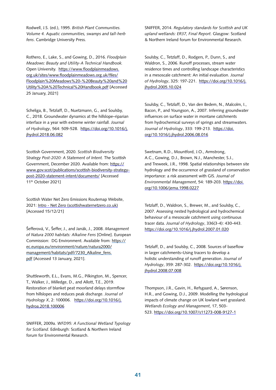Rodwell, J.S. (ed.), 1995. *British Plant Communities. Volume 4. Aquatic communities, swamps and tall-herb fens*. Cambridge University Press.

Rothero, E., Lake, S., and Gowing, D., 2016. *Floodplain Meadows: Beauty and Utility-A Technical Handbook.* Open University. [https://www.floodplainmeadows.](https://www.floodplainmeadows.org.uk/sites/www.floodplainmeadows.org.uk/files/Floodplain Meadows - Beauty and Utility A Technical Handbook.pdf) [org.uk/sites/www.floodplainmeadows.org.uk/files/](https://www.floodplainmeadows.org.uk/sites/www.floodplainmeadows.org.uk/files/Floodplain Meadows - Beauty and Utility A Technical Handbook.pdf) [Floodplain%20Meadows%20-%20Beauty%20and%20](https://www.floodplainmeadows.org.uk/sites/www.floodplainmeadows.org.uk/files/Floodplain Meadows - Beauty and Utility A Technical Handbook.pdf) [Utility%20A%20Technical%20Handbook.pdf](https://www.floodplainmeadows.org.uk/sites/www.floodplainmeadows.org.uk/files/Floodplain Meadows - Beauty and Utility A Technical Handbook.pdf) [Accessed 25 January, 2021]

Scheliga, B., Tetzlaff, D., Nuetzmann, G., and Soulsby, C., 2018. Groundwater dynamics at the hillslope–riparian interface in a year with extreme winter rainfall. *Journal of Hydrology*, 564: 509-528. [https://doi.org/10.1016/j.](https://doi.org/10.1016/j.jhydrol.2018.06.082) [jhydrol.2018.06.082](https://doi.org/10.1016/j.jhydrol.2018.06.082) 

Scottish Government, 2020. *Scottish Biodiversity Strategy Post-2020: A Statement of Intent.* The Scottish Government, December 2020. Available from: [https://](https://www.gov.scot/publications/scottish-biodiversity-strategy-post-2020-statement-intent/documents/) [www.gov.scot/publications/scottish-biodiversity-strategy](https://www.gov.scot/publications/scottish-biodiversity-strategy-post-2020-statement-intent/documents/)[post-2020-statement-intent/documents/](https://www.gov.scot/publications/scottish-biodiversity-strategy-post-2020-statement-intent/documents/) [Accessed 11th October 2021]

Scottish Water Net Zero Emissions Routemap Website, 2021: [Intro - Net Zero \(scottishwaternetzero.co.uk\)](https://scottishwaternetzero.co.uk/) [Accessed 15/12/21]

Šefferová, V., Šeffer, J., and Janák, J., 2008. *Management of Natura 2000 habitats: Alkaline Fens* [Online]. European Commission: DG Environment. Available from: [https://](https://ec.europa.eu/environment/nature/natura2000/management/habitats/pdf/7230_Alkaline_fens.pdf) [ec.europa.eu/environment/nature/natura2000/](https://ec.europa.eu/environment/nature/natura2000/management/habitats/pdf/7230_Alkaline_fens.pdf) [management/habitats/pdf/7230\\_Alkaline\\_fens.](https://ec.europa.eu/environment/nature/natura2000/management/habitats/pdf/7230_Alkaline_fens.pdf) [pdf](https://ec.europa.eu/environment/nature/natura2000/management/habitats/pdf/7230_Alkaline_fens.pdf) [Accessed 13 January, 2021].

Shuttleworth, E.L., Evans, M.G., Pilkington, M., Spencer, T., Walker, J., Milledge, D., and Allott, T.E., 2019. Restoration of blanket peat moorland delays stormflow from hillslopes and reduces peak discharge. *Journal of Hydrology X*, 2: 100006.  [https://doi.org/10.1016/j.](https://doi.org/10.1016/j.hydroa.2018.100006) [hydroa.2018.100006](https://doi.org/10.1016/j.hydroa.2018.100006)

SNIFFER, 2009a. *WFD95: A Functional Wetland Typology for Scotland*. Edinburgh: Scotland & Northern Ireland forum for Environmental Research.

SNIFFER, 2014. *Regulatory standards for Scottish and UK upland wetlands: ER37, Final Report*. Glasgow: Scotland & Northern Ireland forum for Environmental Research.

Soulsby, C., Tetzlaff, D., Rodgers, P., Dunn, S., and Waldron, S., 2006. Runoff processes, stream water residence times and controlling landscape characteristics in a mesoscale catchment: An initial evaluation. *Journal of Hydrology*, 325: 197-221.  [https://doi.org/10.1016/j.](https://doi.org/10.1016/j.jhydrol.2005.10.024) [jhydrol.2005.10.024](https://doi.org/10.1016/j.jhydrol.2005.10.024)

Soulsby, C., Tetzlaff, D., Van den Bedem, N., Malcolm, I., Bacon, P., and Youngson, A., 2007. Inferring groundwater influences on surface water in montane catchments from hydrochemical surveys of springs and streamwaters. *Journal of Hydrology*, 333: 199-213.  [https://doi.](https://doi.org/10.1016/j.jhydrol.2006.08.016) [org/10.1016/j.jhydrol.2006.08.016](https://doi.org/10.1016/j.jhydrol.2006.08.016)

Swetnam, R.D., Mountford, J.O., Armstrong, A.C., Gowing, D.J., Brown, N.J., Manchester, S.J., and Treweek, J.R., 1998. Spatial relationships between site hydrology and the occurrence of grassland of conservation importance: a risk assessment with GIS. *Journal of Environmental Management*, 54: 189-203. [https://doi.](https://doi.org/10.1006/jema.1998.0227) [org/10.1006/jema.1998.0227](https://doi.org/10.1006/jema.1998.0227)

Tetzlaff, D., Waldron, S., Brewer, M., and Soulsby, C., 2007. Assessing nested hydrological and hydrochemical behaviour of a mesoscale catchment using continuous tracer data. *Journal of Hydrology*, 336(3-4): 430-443. <https://doi.org/10.1016/j.jhydrol.2007.01.020>

Tetzlaff, D., and Soulsby, C., 2008. Sources of baseflow in larger catchments–Using tracers to develop a holistic understanding of runoff generation. *Journal of Hydrology*, 359: 287-302. [https://doi.org/10.1016/j.](https://doi.org/10.1016/j.jhydrol.2008.07.008) [jhydrol.2008.07.008](https://doi.org/10.1016/j.jhydrol.2008.07.008)

Thompson, J.R., Gavin, H., Refsgaard, A., Sørenson, H.R., and Gowing, D.J., 2009. Modelling the hydrological impacts of climate change on UK lowland wet grassland. *Wetlands Ecology and Management*, 17, 503- 523. <https://doi.org/10.1007/s11273-008-9127-1>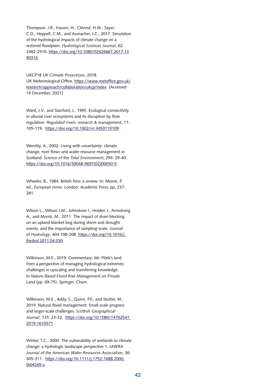Thompson, J.R., Iravani, H., Clilverd, H.M., Sayer, C.D., Heppell, C.M., and Axmacher, J.C., 2017. Simulation of the hydrological impacts of climate change on a restored floodplain. *Hydrological Sciences Journal*, 62: 2482-2510. [https://doi.org/10.1080/02626667.2017.13](https://doi.org/10.1080/02626667.2017.1390316) [90316](https://doi.org/10.1080/02626667.2017.1390316) 

UKCP18 *UK Climate Projections*, 2018. UK Meteorological Office. [https://www.metoffice.gov.uk/](https://www.metoffice.gov.uk/research/approach/collaboration/ukcp/index) [research/approach/collaboration/ukcp/index](https://www.metoffice.gov.uk/research/approach/collaboration/ukcp/index) [Accessed 14 December, 2021]

Ward, J.V., and Stanford, J., 1995. Ecological connectivity in alluvial river ecosystems and its disruption by flow regulation. *Regulated rivers: research & management*, 11: 105-119. <https://doi.org/10.1002/rrr.3450110109>

Werritty, A., 2002. Living with uncertainty: climate change, river flows and water resource management in Scotland. *Science of the Total Environment*, 294: 29-40. [https://doi.org/10.1016/S0048-9697\(02\)00050-5](https://doi.org/10.1016/S0048-9697(02)00050-5)

Wheeler, B., 1984. British fens: a review. In*:* Moore, P. ed., *European mires.* London: Academic Press**,** pp**.** 237- 281.

Wilson L., Wilson J.M., Johnstone I., Holden J., Armstrong A., and Morris, M., 2011. The impact of drain blocking on an upland blanket bog during storm and drought events, and the importance of sampling-scale. *Journal of Hydrology*, 404:198-208. [https://doi.org/10.1016/j.](https://doi.org/10.1016/j.jhydrol.2011.04.030) [jhydrol.2011.04.030](https://doi.org/10.1016/j.jhydrol.2011.04.030)

Wilkinson, M.E., 2019. Commentary: Mr. Pitek's land from a perspective of managing hydrological extremes: challenges in upscaling and transferring knowledge. In *Nature-Based Flood Risk Management on Private Land* (pp. 69-75). Springer, Cham.

Wilkinson, M.E., Addy, S., Quinn, P.F., and Stutter, M., 2019. Natural flood management: Small-scale progress and larger-scale challenges. *Scottish Geographical Journal*, *135*: 23-32.  [https://doi.org/10.1080/14702541.](https://doi.org/10.1080/14702541.2019.1610571) [2019.1610571](https://doi.org/10.1080/14702541.2019.1610571)

Winter, T.C., 2000. The vulnerability of wetlands to climate change: a hydrologic landscape perspective 1. *JAWRA Journal of the American Water Resources Association*, 36: 305-311. [https://doi.org/10.1111/j.1752-1688.2000.](https://doi.org/10.1111/j.1752-1688.2000.tb04269.x) [tb04269.x](https://doi.org/10.1111/j.1752-1688.2000.tb04269.x)